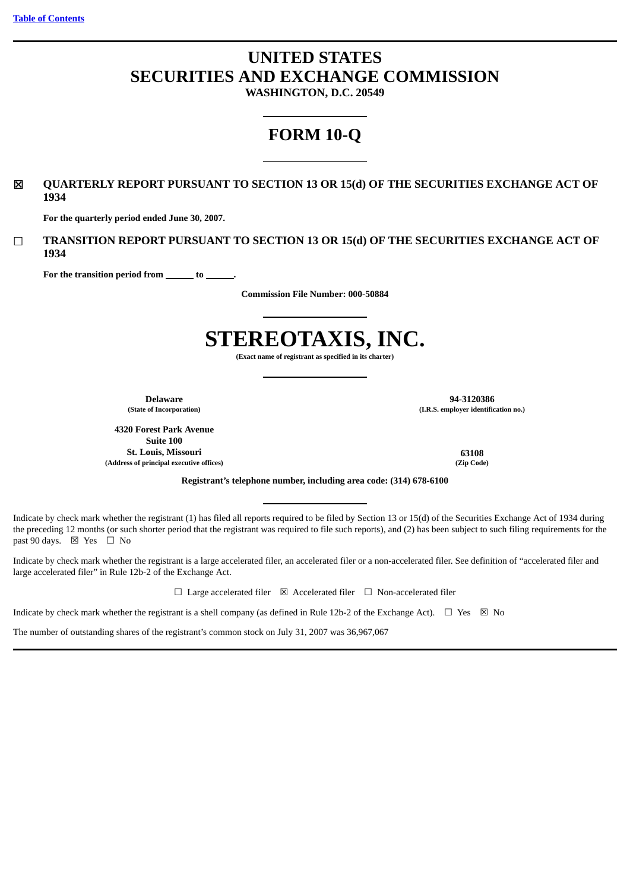# **UNITED STATES SECURITIES AND EXCHANGE COMMISSION**

**WASHINGTON, D.C. 20549**

# **FORM 10-Q**

# ☒ **QUARTERLY REPORT PURSUANT TO SECTION 13 OR 15(d) OF THE SECURITIES EXCHANGE ACT OF 1934**

**For the quarterly period ended June 30, 2007.**

☐ **TRANSITION REPORT PURSUANT TO SECTION 13 OR 15(d) OF THE SECURITIES EXCHANGE ACT OF 1934**

For the transition period from <u>section</u> to

**Commission File Number: 000-50884**

# **STEREOTAXIS, INC.**

**(Exact name of registrant as specified in its charter)**

**4320 Forest Park Avenue Suite 100 St. Louis, Missouri 63108 (Address of principal executive offices) (Zip Code)**

**Delaware 94-3120386 (State of Incorporation) (I.R.S. employer identification no.)**

**Registrant's telephone number, including area code: (314) 678-6100**

Indicate by check mark whether the registrant (1) has filed all reports required to be filed by Section 13 or 15(d) of the Securities Exchange Act of 1934 during the preceding 12 months (or such shorter period that the registrant was required to file such reports), and (2) has been subject to such filing requirements for the past 90 days.  $\boxtimes$  Yes  $\Box$  No

Indicate by check mark whether the registrant is a large accelerated filer, an accelerated filer or a non-accelerated filer. See definition of "accelerated filer and large accelerated filer" in Rule 12b-2 of the Exchange Act.

☐ Large accelerated filer ☒ Accelerated filer ☐ Non-accelerated filer

Indicate by check mark whether the registrant is a shell company (as defined in Rule 12b-2 of the Exchange Act).  $\Box$  Yes  $\boxtimes$  No

The number of outstanding shares of the registrant's common stock on July 31, 2007 was 36,967,067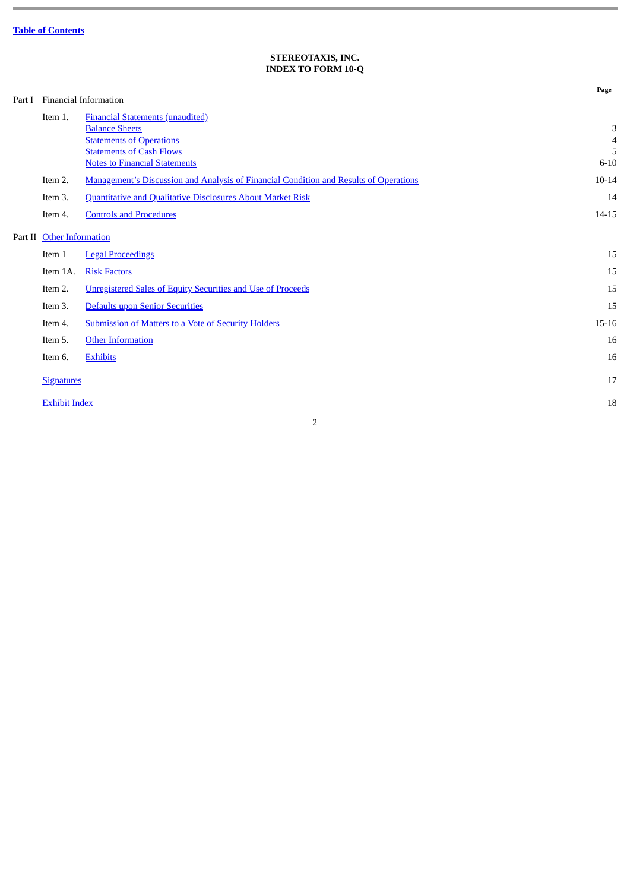# **STEREOTAXIS, INC. INDEX TO FORM 10-Q**

<span id="page-1-0"></span>

| Part I |                           | Financial Information                                                                                                                                                          | Page                                 |
|--------|---------------------------|--------------------------------------------------------------------------------------------------------------------------------------------------------------------------------|--------------------------------------|
|        | Item 1.                   | <b>Financial Statements (unaudited)</b><br><b>Balance Sheets</b><br><b>Statements of Operations</b><br><b>Statements of Cash Flows</b><br><b>Notes to Financial Statements</b> | 3<br>$\overline{4}$<br>5<br>$6 - 10$ |
|        | Item 2.                   | Management's Discussion and Analysis of Financial Condition and Results of Operations                                                                                          | $10 - 14$                            |
|        | Item 3.<br>Item 4.        | <b>Quantitative and Qualitative Disclosures About Market Risk</b><br><b>Controls and Procedures</b>                                                                            | 14<br>$14 - 15$                      |
|        | Part II Other Information |                                                                                                                                                                                |                                      |
|        | Item 1                    | <b>Legal Proceedings</b>                                                                                                                                                       | 15                                   |
|        | Item 1A.                  | <b>Risk Factors</b>                                                                                                                                                            | 15                                   |
|        | Item 2.                   | <b>Unregistered Sales of Equity Securities and Use of Proceeds</b>                                                                                                             | 15                                   |
|        | Item 3.                   | Defaults upon Senior Securities                                                                                                                                                | 15                                   |
|        | Item 4.                   | <b>Submission of Matters to a Vote of Security Holders</b>                                                                                                                     | $15 - 16$                            |
|        | Item 5.                   | <b>Other Information</b>                                                                                                                                                       | 16                                   |
|        | Item 6.                   | <b>Exhibits</b>                                                                                                                                                                | 16                                   |
|        | <b>Signatures</b>         |                                                                                                                                                                                | 17                                   |
|        | <b>Exhibit Index</b>      |                                                                                                                                                                                | 18                                   |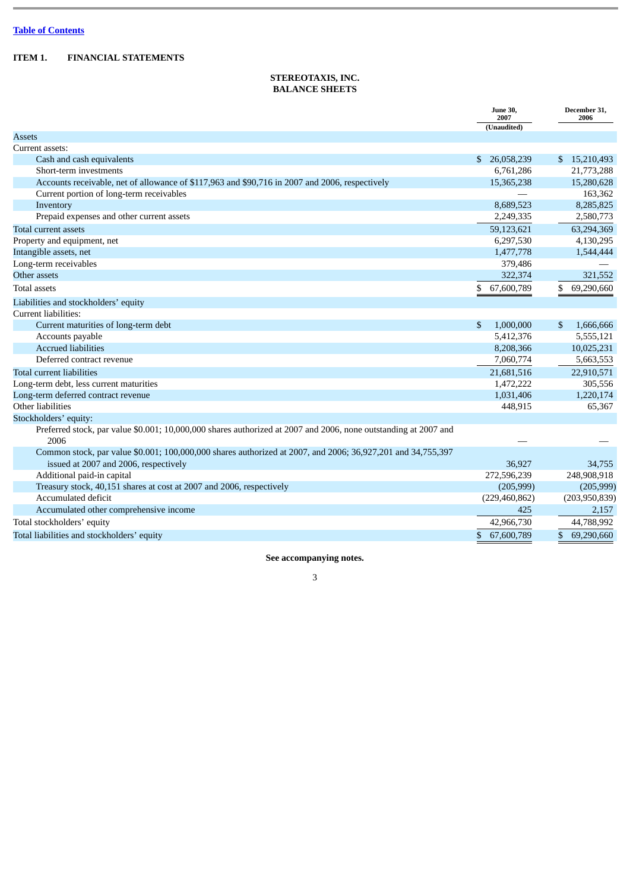# <span id="page-2-1"></span><span id="page-2-0"></span>**ITEM 1. FINANCIAL STATEMENTS**

# **STEREOTAXIS, INC. BALANCE SHEETS**

|                                                                                                                                                      | <b>June 30,</b><br>2007 | December 31,<br>2006        |
|------------------------------------------------------------------------------------------------------------------------------------------------------|-------------------------|-----------------------------|
|                                                                                                                                                      | (Unaudited)             |                             |
| Assets                                                                                                                                               |                         |                             |
| Current assets:                                                                                                                                      |                         |                             |
| Cash and cash equivalents                                                                                                                            | \$<br>26,058,239        | \$15,210,493                |
| Short-term investments                                                                                                                               | 6,761,286               | 21,773,288                  |
| Accounts receivable, net of allowance of \$117,963 and \$90,716 in 2007 and 2006, respectively                                                       | 15,365,238              | 15,280,628                  |
| Current portion of long-term receivables                                                                                                             |                         | 163,362                     |
| Inventory                                                                                                                                            | 8,689,523               | 8,285,825                   |
| Prepaid expenses and other current assets                                                                                                            | 2,249,335               | 2,580,773                   |
| Total current assets                                                                                                                                 | 59,123,621              | 63,294,369                  |
| Property and equipment, net                                                                                                                          | 6,297,530               | 4,130,295                   |
| Intangible assets, net                                                                                                                               | 1,477,778               | 1,544,444                   |
| Long-term receivables                                                                                                                                | 379,486                 |                             |
| Other assets                                                                                                                                         | 322,374                 | 321,552                     |
| <b>Total assets</b>                                                                                                                                  | 67,600,789<br>\$        | \$<br>69,290,660            |
| Liabilities and stockholders' equity                                                                                                                 |                         |                             |
| Current liabilities:                                                                                                                                 |                         |                             |
| Current maturities of long-term debt                                                                                                                 | \$<br>1,000,000         | $\mathfrak{S}$<br>1,666,666 |
| Accounts payable                                                                                                                                     | 5,412,376               | 5,555,121                   |
| <b>Accrued liabilities</b>                                                                                                                           | 8,208,366               | 10,025,231                  |
| Deferred contract revenue                                                                                                                            | 7,060,774               | 5,663,553                   |
| Total current liabilities                                                                                                                            | 21,681,516              | 22,910,571                  |
| Long-term debt, less current maturities                                                                                                              | 1,472,222               | 305,556                     |
| Long-term deferred contract revenue                                                                                                                  | 1,031,406               | 1,220,174                   |
| Other liabilities                                                                                                                                    | 448,915                 | 65,367                      |
| Stockholders' equity:                                                                                                                                |                         |                             |
| Preferred stock, par value \$0.001; 10,000,000 shares authorized at 2007 and 2006, none outstanding at 2007 and<br>2006                              |                         |                             |
| Common stock, par value \$0.001; 100,000,000 shares authorized at 2007, and 2006; 36,927,201 and 34,755,397<br>issued at 2007 and 2006, respectively | 36,927                  | 34,755                      |
| Additional paid-in capital                                                                                                                           | 272,596,239             | 248,908,918                 |
| Treasury stock, 40,151 shares at cost at 2007 and 2006, respectively                                                                                 | (205,999)               | (205,999)                   |
| Accumulated deficit                                                                                                                                  | (229, 460, 862)         | (203,950,839)               |
| Accumulated other comprehensive income                                                                                                               | 425                     | 2,157                       |
| Total stockholders' equity                                                                                                                           | 42,966,730              | 44,788,992                  |
| Total liabilities and stockholders' equity                                                                                                           | \$<br>67,600,789        | \$<br>69,290,660            |

# **See accompanying notes.**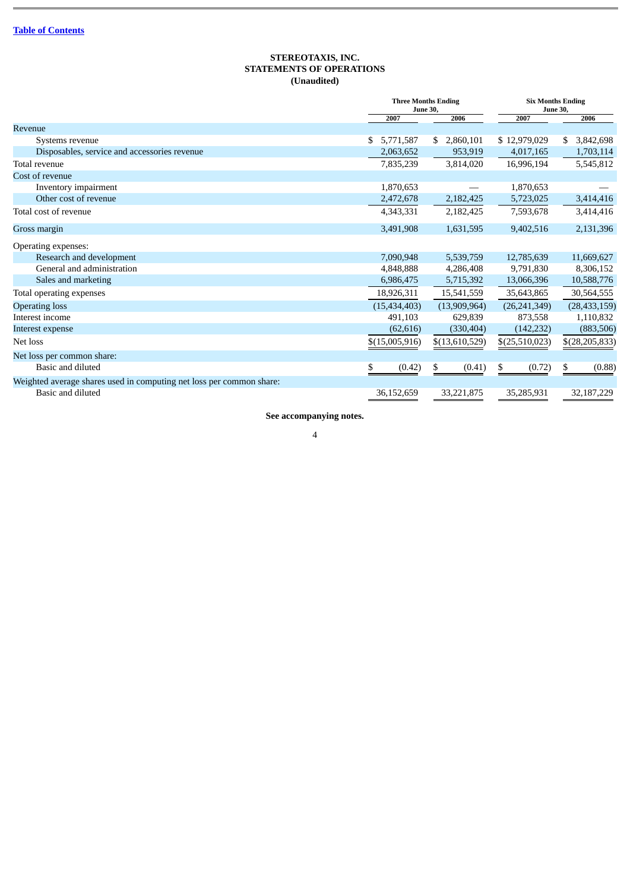## **STEREOTAXIS, INC. STATEMENTS OF OPERATIONS (Unaudited)**

<span id="page-3-0"></span>

|                                                                      |                 | <b>Three Months Ending</b><br><b>June 30,</b> |                | <b>Six Months Ending</b><br><b>June 30,</b> |
|----------------------------------------------------------------------|-----------------|-----------------------------------------------|----------------|---------------------------------------------|
|                                                                      | 2007            | 2006                                          | 2007           | 2006                                        |
| Revenue                                                              |                 |                                               |                |                                             |
| Systems revenue                                                      | 5,771,587<br>S. | 2,860,101<br>S.                               | \$12,979,029   | 3,842,698<br>S.                             |
| Disposables, service and accessories revenue                         | 2,063,652       | 953,919                                       | 4,017,165      | 1,703,114                                   |
| Total revenue                                                        | 7,835,239       | 3,814,020                                     | 16,996,194     | 5,545,812                                   |
| Cost of revenue                                                      |                 |                                               |                |                                             |
| Inventory impairment                                                 | 1,870,653       |                                               | 1,870,653      |                                             |
| Other cost of revenue                                                | 2,472,678       | 2,182,425                                     | 5,723,025      | 3,414,416                                   |
| Total cost of revenue                                                | 4,343,331       | 2,182,425                                     | 7,593,678      | 3,414,416                                   |
| Gross margin                                                         | 3,491,908       | 1,631,595                                     | 9,402,516      | 2,131,396                                   |
| Operating expenses:                                                  |                 |                                               |                |                                             |
| Research and development                                             | 7,090,948       | 5,539,759                                     | 12,785,639     | 11,669,627                                  |
| General and administration                                           | 4,848,888       | 4,286,408                                     | 9,791,830      | 8,306,152                                   |
| Sales and marketing                                                  | 6,986,475       | 5,715,392                                     | 13,066,396     | 10,588,776                                  |
| Total operating expenses                                             | 18,926,311      | 15,541,559                                    | 35,643,865     | 30,564,555                                  |
| <b>Operating loss</b>                                                | (15, 434, 403)  | (13,909,964)                                  | (26, 241, 349) | (28, 433, 159)                              |
| Interest income                                                      | 491,103         | 629,839                                       | 873,558        | 1,110,832                                   |
| Interest expense                                                     | (62, 616)       | (330, 404)                                    | (142, 232)     | (883, 506)                                  |
| Net loss                                                             | \$(15,005,916)  | \$(13,610,529)                                | \$(25,510,023) | $$$ (28,205,833)                            |
| Net loss per common share:                                           |                 |                                               |                |                                             |
| Basic and diluted                                                    | \$<br>(0.42)    | \$<br>(0.41)                                  | \$<br>(0.72)   | \$<br>(0.88)                                |
| Weighted average shares used in computing net loss per common share: |                 |                                               |                |                                             |
| Basic and diluted                                                    | 36,152,659      | 33,221,875                                    | 35,285,931     | 32,187,229                                  |

**See accompanying notes.**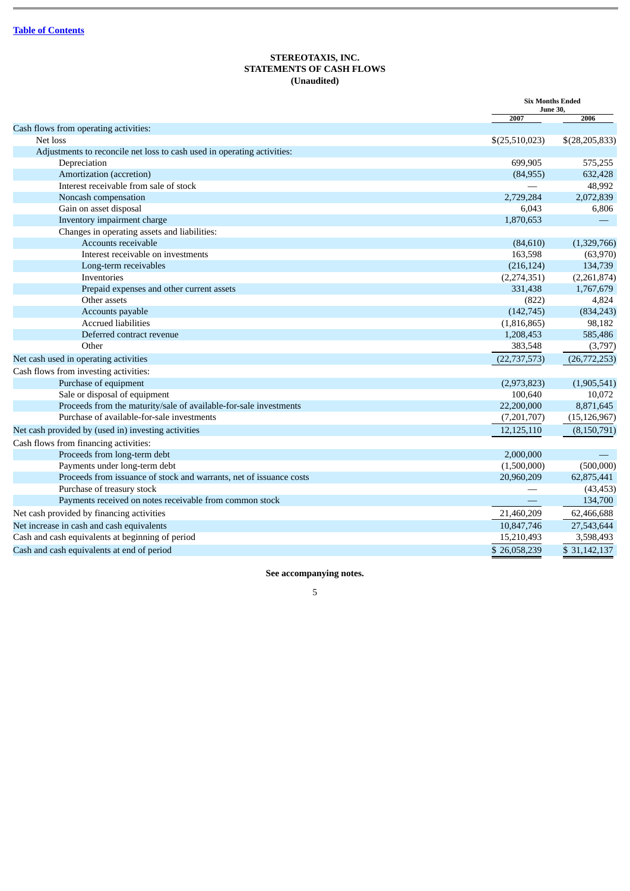# **STEREOTAXIS, INC. STATEMENTS OF CASH FLOWS (Unaudited)**

<span id="page-4-0"></span>

|                                                                         | <b>Six Months Ended</b><br><b>June 30,</b> |                  |
|-------------------------------------------------------------------------|--------------------------------------------|------------------|
|                                                                         | 2007                                       | 2006             |
| Cash flows from operating activities:                                   |                                            |                  |
| Net loss                                                                | \$(25,510,023)                             | \$(28, 205, 833) |
| Adjustments to reconcile net loss to cash used in operating activities: |                                            |                  |
| Depreciation                                                            | 699,905                                    | 575,255          |
| Amortization (accretion)                                                | (84,955)                                   | 632,428          |
| Interest receivable from sale of stock                                  |                                            | 48,992           |
| Noncash compensation                                                    | 2,729,284                                  | 2,072,839        |
| Gain on asset disposal                                                  | 6,043                                      | 6,806            |
| Inventory impairment charge                                             | 1,870,653                                  |                  |
| Changes in operating assets and liabilities:                            |                                            |                  |
| Accounts receivable                                                     | (84, 610)                                  | (1,329,766)      |
| Interest receivable on investments                                      | 163,598                                    | (63,970)         |
| Long-term receivables                                                   | (216, 124)                                 | 134,739          |
| Inventories                                                             | (2,274,351)                                | (2,261,874)      |
| Prepaid expenses and other current assets                               | 331.438                                    | 1,767,679        |
| Other assets                                                            | (822)                                      | 4,824            |
| Accounts payable                                                        | (142, 745)                                 | (834, 243)       |
| <b>Accrued liabilities</b>                                              | (1,816,865)                                | 98,182           |
| Deferred contract revenue                                               | 1,208,453                                  | 585,486          |
| Other                                                                   | 383,548                                    | (3,797)          |
| Net cash used in operating activities                                   | (22, 737, 573)                             | (26,772,253)     |
| Cash flows from investing activities:                                   |                                            |                  |
| Purchase of equipment                                                   | (2,973,823)                                | (1,905,541)      |
| Sale or disposal of equipment                                           | 100,640                                    | 10,072           |
| Proceeds from the maturity/sale of available-for-sale investments       | 22,200,000                                 | 8,871,645        |
| Purchase of available-for-sale investments                              | (7,201,707)                                | (15, 126, 967)   |
| Net cash provided by (used in) investing activities                     | 12,125,110                                 | (8,150,791)      |
| Cash flows from financing activities:                                   |                                            |                  |
| Proceeds from long-term debt                                            | 2,000,000                                  |                  |
| Payments under long-term debt                                           | (1,500,000)                                | (500,000)        |
| Proceeds from issuance of stock and warrants, net of issuance costs     | 20,960,209                                 | 62,875,441       |
| Purchase of treasury stock                                              |                                            | (43, 453)        |
| Payments received on notes receivable from common stock                 |                                            | 134,700          |
| Net cash provided by financing activities                               | 21,460,209                                 | 62,466,688       |
| Net increase in cash and cash equivalents                               | 10,847,746                                 | 27,543,644       |
| Cash and cash equivalents at beginning of period                        | 15,210,493                                 | 3,598,493        |
| Cash and cash equivalents at end of period                              | \$26,058,239                               | \$31,142,137     |

**See accompanying notes.**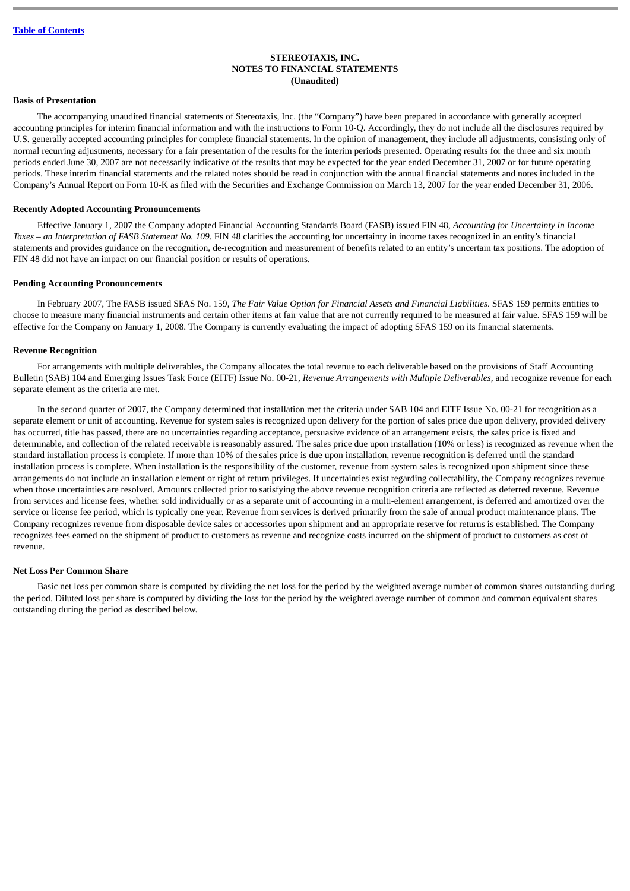## **STEREOTAXIS, INC. NOTES TO FINANCIAL STATEMENTS (Unaudited)**

## <span id="page-5-0"></span>**Basis of Presentation**

The accompanying unaudited financial statements of Stereotaxis, Inc. (the "Company") have been prepared in accordance with generally accepted accounting principles for interim financial information and with the instructions to Form 10-Q. Accordingly, they do not include all the disclosures required by U.S. generally accepted accounting principles for complete financial statements. In the opinion of management, they include all adjustments, consisting only of normal recurring adjustments, necessary for a fair presentation of the results for the interim periods presented. Operating results for the three and six month periods ended June 30, 2007 are not necessarily indicative of the results that may be expected for the year ended December 31, 2007 or for future operating periods. These interim financial statements and the related notes should be read in conjunction with the annual financial statements and notes included in the Company's Annual Report on Form 10-K as filed with the Securities and Exchange Commission on March 13, 2007 for the year ended December 31, 2006.

#### **Recently Adopted Accounting Pronouncements**

Effective January 1, 2007 the Company adopted Financial Accounting Standards Board (FASB) issued FIN 48, *Accounting for Uncertainty in Income Taxes – an Interpretation of FASB Statement No. 109*. FIN 48 clarifies the accounting for uncertainty in income taxes recognized in an entity's financial statements and provides guidance on the recognition, de-recognition and measurement of benefits related to an entity's uncertain tax positions. The adoption of FIN 48 did not have an impact on our financial position or results of operations.

#### **Pending Accounting Pronouncements**

In February 2007, The FASB issued SFAS No. 159, *The Fair Value Option for Financial Assets and Financial Liabilities*. SFAS 159 permits entities to choose to measure many financial instruments and certain other items at fair value that are not currently required to be measured at fair value. SFAS 159 will be effective for the Company on January 1, 2008. The Company is currently evaluating the impact of adopting SFAS 159 on its financial statements.

#### **Revenue Recognition**

For arrangements with multiple deliverables, the Company allocates the total revenue to each deliverable based on the provisions of Staff Accounting Bulletin (SAB) 104 and Emerging Issues Task Force (EITF) Issue No. 00-21, *Revenue Arrangements with Multiple Deliverables,* and recognize revenue for each separate element as the criteria are met.

In the second quarter of 2007, the Company determined that installation met the criteria under SAB 104 and EITF Issue No. 00-21 for recognition as a separate element or unit of accounting. Revenue for system sales is recognized upon delivery for the portion of sales price due upon delivery, provided delivery has occurred, title has passed, there are no uncertainties regarding acceptance, persuasive evidence of an arrangement exists, the sales price is fixed and determinable, and collection of the related receivable is reasonably assured. The sales price due upon installation (10% or less) is recognized as revenue when the standard installation process is complete. If more than 10% of the sales price is due upon installation, revenue recognition is deferred until the standard installation process is complete. When installation is the responsibility of the customer, revenue from system sales is recognized upon shipment since these arrangements do not include an installation element or right of return privileges. If uncertainties exist regarding collectability, the Company recognizes revenue when those uncertainties are resolved. Amounts collected prior to satisfying the above revenue recognition criteria are reflected as deferred revenue. Revenue from services and license fees, whether sold individually or as a separate unit of accounting in a multi-element arrangement, is deferred and amortized over the service or license fee period, which is typically one year. Revenue from services is derived primarily from the sale of annual product maintenance plans. The Company recognizes revenue from disposable device sales or accessories upon shipment and an appropriate reserve for returns is established. The Company recognizes fees earned on the shipment of product to customers as revenue and recognize costs incurred on the shipment of product to customers as cost of revenue.

#### **Net Loss Per Common Share**

Basic net loss per common share is computed by dividing the net loss for the period by the weighted average number of common shares outstanding during the period. Diluted loss per share is computed by dividing the loss for the period by the weighted average number of common and common equivalent shares outstanding during the period as described below.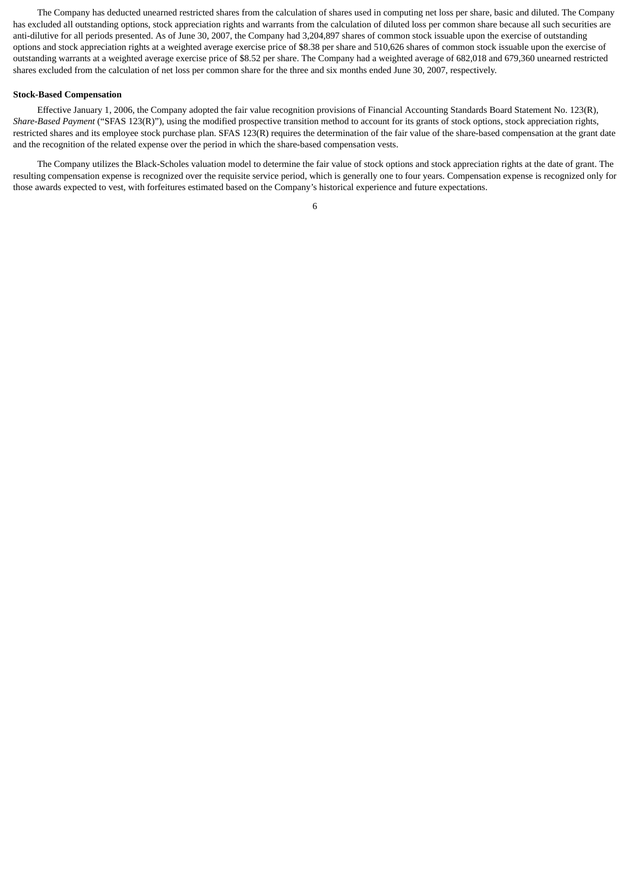The Company has deducted unearned restricted shares from the calculation of shares used in computing net loss per share, basic and diluted. The Company has excluded all outstanding options, stock appreciation rights and warrants from the calculation of diluted loss per common share because all such securities are anti-dilutive for all periods presented. As of June 30, 2007, the Company had 3,204,897 shares of common stock issuable upon the exercise of outstanding options and stock appreciation rights at a weighted average exercise price of \$8.38 per share and 510,626 shares of common stock issuable upon the exercise of outstanding warrants at a weighted average exercise price of \$8.52 per share. The Company had a weighted average of 682,018 and 679,360 unearned restricted shares excluded from the calculation of net loss per common share for the three and six months ended June 30, 2007, respectively.

#### **Stock-Based Compensation**

Effective January 1, 2006, the Company adopted the fair value recognition provisions of Financial Accounting Standards Board Statement No. 123(R), *Share-Based Payment* ("SFAS 123(R)"), using the modified prospective transition method to account for its grants of stock options, stock appreciation rights, restricted shares and its employee stock purchase plan. SFAS 123(R) requires the determination of the fair value of the share-based compensation at the grant date and the recognition of the related expense over the period in which the share-based compensation vests.

The Company utilizes the Black-Scholes valuation model to determine the fair value of stock options and stock appreciation rights at the date of grant. The resulting compensation expense is recognized over the requisite service period, which is generally one to four years. Compensation expense is recognized only for those awards expected to vest, with forfeitures estimated based on the Company's historical experience and future expectations.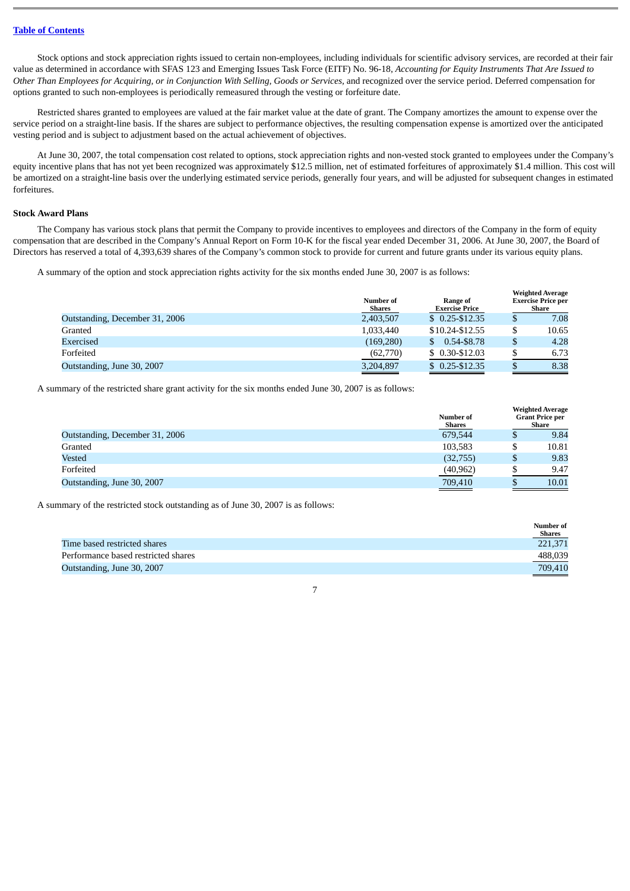Stock options and stock appreciation rights issued to certain non-employees, including individuals for scientific advisory services, are recorded at their fair value as determined in accordance with SFAS 123 and Emerging Issues Task Force (EITF) No. 96-18, *Accounting for Equity Instruments That Are Issued to Other Than Employees for Acquiring, or in Conjunction With Selling, Goods or Services,* and recognized over the service period. Deferred compensation for options granted to such non-employees is periodically remeasured through the vesting or forfeiture date.

Restricted shares granted to employees are valued at the fair market value at the date of grant. The Company amortizes the amount to expense over the service period on a straight-line basis. If the shares are subject to performance objectives, the resulting compensation expense is amortized over the anticipated vesting period and is subject to adjustment based on the actual achievement of objectives.

At June 30, 2007, the total compensation cost related to options, stock appreciation rights and non-vested stock granted to employees under the Company's equity incentive plans that has not yet been recognized was approximately \$12.5 million, net of estimated forfeitures of approximately \$1.4 million. This cost will be amortized on a straight-line basis over the underlying estimated service periods, generally four years, and will be adjusted for subsequent changes in estimated forfeitures.

#### **Stock Award Plans**

The Company has various stock plans that permit the Company to provide incentives to employees and directors of the Company in the form of equity compensation that are described in the Company's Annual Report on Form 10-K for the fiscal year ended December 31, 2006. At June 30, 2007, the Board of Directors has reserved a total of 4,393,639 shares of the Company's common stock to provide for current and future grants under its various equity plans.

A summary of the option and stock appreciation rights activity for the six months ended June 30, 2007 is as follows:

|                                | Number of<br>Shares | Range of<br><b>Exercise Price</b> |    | <b>Weighted Average</b><br><b>Exercise Price per</b><br>Share |
|--------------------------------|---------------------|-----------------------------------|----|---------------------------------------------------------------|
| Outstanding, December 31, 2006 | 2,403,507           | $$0.25 - $12.35$                  | Φ  | 7.08                                                          |
| Granted                        | 1,033,440           | \$10.24-\$12.55                   | J  | 10.65                                                         |
| Exercised                      | (169, 280)          | 0.54-\$8.78                       | \$ | 4.28                                                          |
| Forfeited                      | (62,770)            | $$0.30-S12.03$                    |    | 6.73                                                          |
| Outstanding, June 30, 2007     | 3,204,897           | $$0.25 - $12.35$                  |    | 8.38                                                          |

A summary of the restricted share grant activity for the six months ended June 30, 2007 is as follows:

|                                | Number of<br>Shares |    | <b>Weighted Average</b><br><b>Grant Price per</b><br>Share |
|--------------------------------|---------------------|----|------------------------------------------------------------|
| Outstanding, December 31, 2006 | 679.544             | Φ  | 9.84                                                       |
| Granted                        | 103,583             |    | 10.81                                                      |
| Vested                         | (32,755)            | \$ | 9.83                                                       |
| Forfeited                      | (40, 962)           |    | 9.47                                                       |
| Outstanding, June 30, 2007     | 709,410             |    | 10.01                                                      |

A summary of the restricted stock outstanding as of June 30, 2007 is as follows:

|                                     | Number of     |
|-------------------------------------|---------------|
|                                     | <b>Shares</b> |
| Time based restricted shares        | 221.371       |
| Performance based restricted shares | 488,039       |
| Outstanding, June 30, 2007          | 709,410       |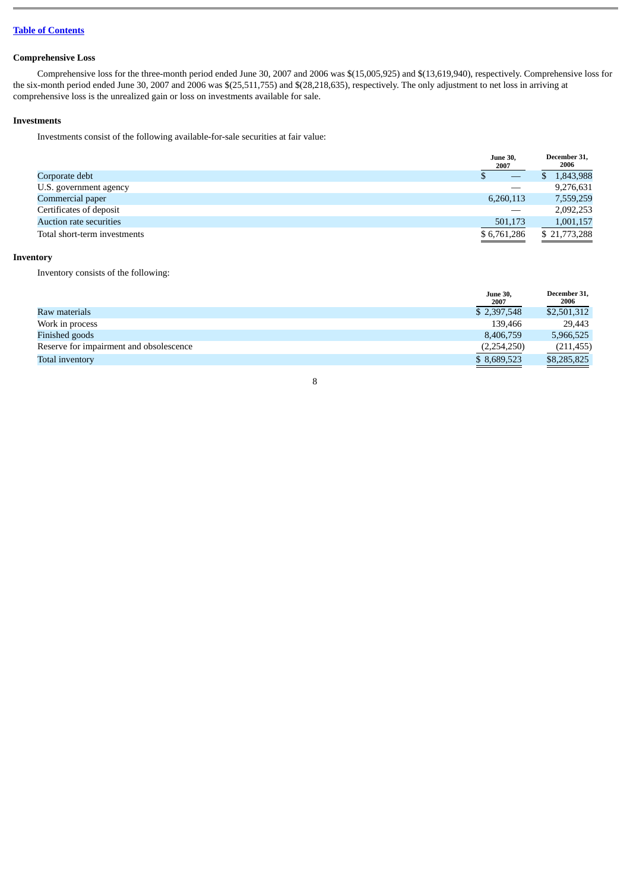## **Table of [Contents](#page-1-0)**

# **Comprehensive Loss**

Comprehensive loss for the three-month period ended June 30, 2007 and 2006 was \$(15,005,925) and \$(13,619,940), respectively. Comprehensive loss for the six-month period ended June 30, 2007 and 2006 was \$(25,511,755) and \$(28,218,635), respectively. The only adjustment to net loss in arriving at comprehensive loss is the unrealized gain or loss on investments available for sale.

## **Investments**

Investments consist of the following available-for-sale securities at fair value:

|                                | <b>June 30,</b><br>2007         | December 31,<br>2006 |
|--------------------------------|---------------------------------|----------------------|
| Corporate debt                 | $\hspace{0.1mm}-\hspace{0.1mm}$ | 1,843,988            |
| U.S. government agency         |                                 | 9,276,631            |
| Commercial paper               | 6,260,113                       | 7,559,259            |
| Certificates of deposit        |                                 | 2,092,253            |
| <b>Auction rate securities</b> | 501,173                         | 1,001,157            |
| Total short-term investments   | \$6,761,286                     | \$21,773,288         |

## **Inventory**

Inventory consists of the following:

|                                         | <b>June 30,</b><br>2007 | December 31,<br>2006 |
|-----------------------------------------|-------------------------|----------------------|
| Raw materials                           | \$2,397,548             | \$2,501,312          |
| Work in process                         | 139,466                 | 29,443               |
| Finished goods                          | 8,406,759               | 5,966,525            |
| Reserve for impairment and obsolescence | (2,254,250)             | (211, 455)           |
| Total inventory                         | \$ 8,689,523            | \$8,285,825          |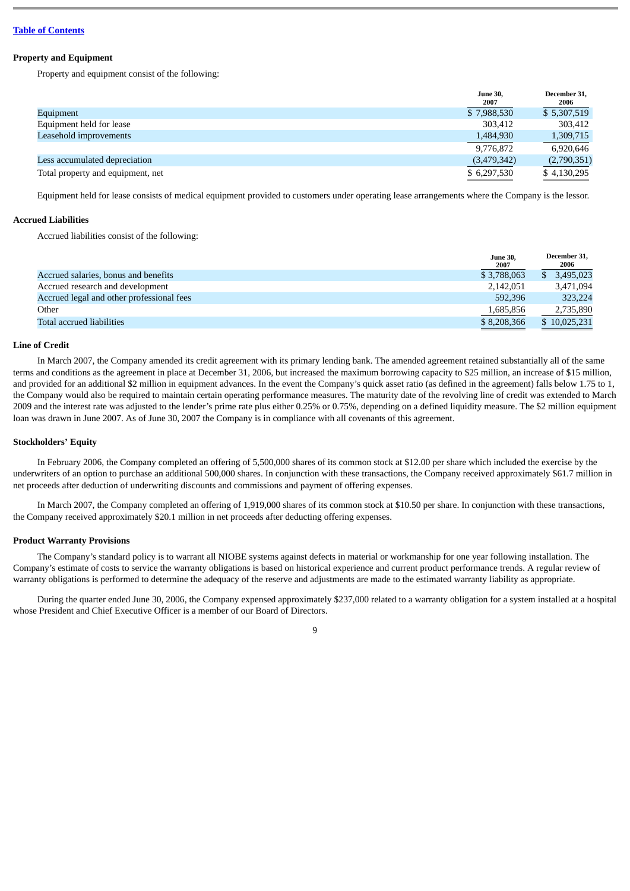#### **Property and Equipment**

Property and equipment consist of the following:

|                                   | <b>June 30,</b><br>2007 | December 31,<br>2006 |
|-----------------------------------|-------------------------|----------------------|
| Equipment                         | \$7,988,530             | \$5,307,519          |
| Equipment held for lease          | 303,412                 | 303,412              |
| Leasehold improvements            | 1,484,930               | 1,309,715            |
|                                   | 9,776,872               | 6,920,646            |
| Less accumulated depreciation     | (3,479,342)             | (2,790,351)          |
| Total property and equipment, net | \$6,297,530             | \$4,130,295          |

Equipment held for lease consists of medical equipment provided to customers under operating lease arrangements where the Company is the lessor.

#### **Accrued Liabilities**

Accrued liabilities consist of the following:

|                                           | <b>June 30,</b><br>2007 | December 31,<br>2006 |
|-------------------------------------------|-------------------------|----------------------|
| Accrued salaries, bonus and benefits      | \$3,788,063             | 3.495.023            |
| Accrued research and development          | 2,142,051               | 3,471,094            |
| Accrued legal and other professional fees | 592.396                 | 323.224              |
| Other                                     | 1,685,856               | 2,735,890            |
| Total accrued liabilities                 | \$8,208,366             | \$10,025,231         |

## **Line of Credit**

In March 2007, the Company amended its credit agreement with its primary lending bank. The amended agreement retained substantially all of the same terms and conditions as the agreement in place at December 31, 2006, but increased the maximum borrowing capacity to \$25 million, an increase of \$15 million, and provided for an additional \$2 million in equipment advances. In the event the Company's quick asset ratio (as defined in the agreement) falls below 1.75 to 1, the Company would also be required to maintain certain operating performance measures. The maturity date of the revolving line of credit was extended to March 2009 and the interest rate was adjusted to the lender's prime rate plus either 0.25% or 0.75%, depending on a defined liquidity measure. The \$2 million equipment loan was drawn in June 2007. As of June 30, 2007 the Company is in compliance with all covenants of this agreement.

#### **Stockholders' Equity**

In February 2006, the Company completed an offering of 5,500,000 shares of its common stock at \$12.00 per share which included the exercise by the underwriters of an option to purchase an additional 500,000 shares. In conjunction with these transactions, the Company received approximately \$61.7 million in net proceeds after deduction of underwriting discounts and commissions and payment of offering expenses.

In March 2007, the Company completed an offering of 1,919,000 shares of its common stock at \$10.50 per share. In conjunction with these transactions, the Company received approximately \$20.1 million in net proceeds after deducting offering expenses.

## **Product Warranty Provisions**

The Company's standard policy is to warrant all NIOBE systems against defects in material or workmanship for one year following installation. The Company's estimate of costs to service the warranty obligations is based on historical experience and current product performance trends. A regular review of warranty obligations is performed to determine the adequacy of the reserve and adjustments are made to the estimated warranty liability as appropriate.

During the quarter ended June 30, 2006, the Company expensed approximately \$237,000 related to a warranty obligation for a system installed at a hospital whose President and Chief Executive Officer is a member of our Board of Directors.

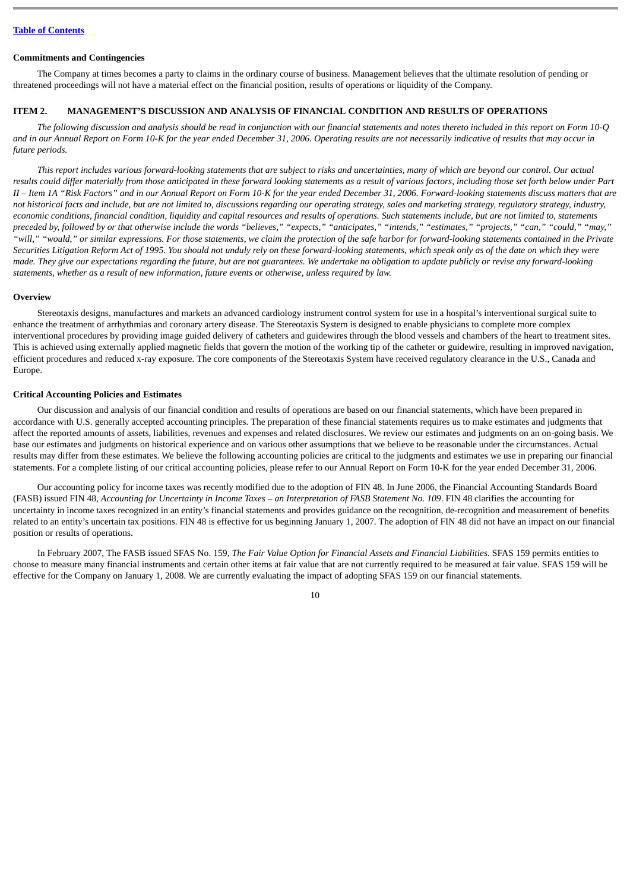#### **Commitments and Contingencies**

The Company at times becomes a party to claims in the ordinary course of business. Management believes that the ultimate resolution of pending or threatened proceedings will not have a material effect on the financial position, results of operations or liquidity of the Company.

## <span id="page-10-0"></span>**ITEM 2. MANAGEMENT'S DISCUSSION AND ANALYSIS OF FINANCIAL CONDITION AND RESULTS OF OPERATIONS**

*The following discussion and analysis should be read in conjunction with our financial statements and notes thereto included in this report on Form 10-Q and in our Annual Report on Form 10-K for the year ended December 31, 2006. Operating results are not necessarily indicative of results that may occur in future periods.*

*This report includes various forward-looking statements that are subject to risks and uncertainties, many of which are beyond our control. Our actual results could differ materially from those anticipated in these forward looking statements as a result of various factors, including those set forth below under Part II – Item 1A "Risk Factors" and in our Annual Report on Form 10-K for the year ended December 31, 2006. Forward-looking statements discuss matters that are not historical facts and include, but are not limited to, discussions regarding our operating strategy, sales and marketing strategy, regulatory strategy, industry, economic conditions, financial condition, liquidity and capital resources and results of operations. Such statements include, but are not limited to, statements preceded by, followed by or that otherwise include the words "believes," "expects," "anticipates," "intends," "estimates," "projects," "can," "could," "may," "will," "would," or similar expressions. For those statements, we claim the protection of the safe harbor for forward-looking statements contained in the Private Securities Litigation Reform Act of 1995. You should not unduly rely on these forward-looking statements, which speak only as of the date on which they were made. They give our expectations regarding the future, but are not guarantees. We undertake no obligation to update publicly or revise any forward-looking statements, whether as a result of new information, future events or otherwise, unless required by law.*

## **Overview**

Stereotaxis designs, manufactures and markets an advanced cardiology instrument control system for use in a hospital's interventional surgical suite to enhance the treatment of arrhythmias and coronary artery disease. The Stereotaxis System is designed to enable physicians to complete more complex interventional procedures by providing image guided delivery of catheters and guidewires through the blood vessels and chambers of the heart to treatment sites. This is achieved using externally applied magnetic fields that govern the motion of the working tip of the catheter or guidewire, resulting in improved navigation, efficient procedures and reduced x-ray exposure. The core components of the Stereotaxis System have received regulatory clearance in the U.S., Canada and Europe.

#### **Critical Accounting Policies and Estimates**

Our discussion and analysis of our financial condition and results of operations are based on our financial statements, which have been prepared in accordance with U.S. generally accepted accounting principles. The preparation of these financial statements requires us to make estimates and judgments that affect the reported amounts of assets, liabilities, revenues and expenses and related disclosures. We review our estimates and judgments on an on-going basis. We base our estimates and judgments on historical experience and on various other assumptions that we believe to be reasonable under the circumstances. Actual results may differ from these estimates. We believe the following accounting policies are critical to the judgments and estimates we use in preparing our financial statements. For a complete listing of our critical accounting policies, please refer to our Annual Report on Form 10-K for the year ended December 31, 2006.

Our accounting policy for income taxes was recently modified due to the adoption of FIN 48. In June 2006, the Financial Accounting Standards Board (FASB) issued FIN 48, *Accounting for Uncertainty in Income Taxes – an Interpretation of FASB Statement No. 109*. FIN 48 clarifies the accounting for uncertainty in income taxes recognized in an entity's financial statements and provides guidance on the recognition, de-recognition and measurement of benefits related to an entity's uncertain tax positions. FIN 48 is effective for us beginning January 1, 2007. The adoption of FIN 48 did not have an impact on our financial position or results of operations.

In February 2007, The FASB issued SFAS No. 159, *The Fair Value Option for Financial Assets and Financial Liabilities*. SFAS 159 permits entities to choose to measure many financial instruments and certain other items at fair value that are not currently required to be measured at fair value. SFAS 159 will be effective for the Company on January 1, 2008. We are currently evaluating the impact of adopting SFAS 159 on our financial statements.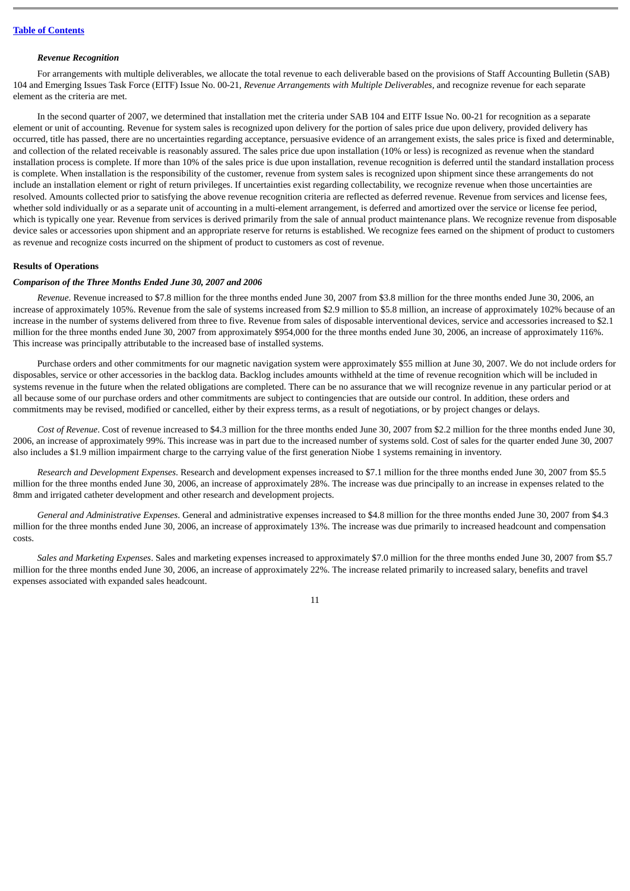#### *Revenue Recognition*

For arrangements with multiple deliverables, we allocate the total revenue to each deliverable based on the provisions of Staff Accounting Bulletin (SAB) 104 and Emerging Issues Task Force (EITF) Issue No. 00-21, *Revenue Arrangements with Multiple Deliverables,* and recognize revenue for each separate element as the criteria are met.

In the second quarter of 2007, we determined that installation met the criteria under SAB 104 and EITF Issue No. 00-21 for recognition as a separate element or unit of accounting. Revenue for system sales is recognized upon delivery for the portion of sales price due upon delivery, provided delivery has occurred, title has passed, there are no uncertainties regarding acceptance, persuasive evidence of an arrangement exists, the sales price is fixed and determinable, and collection of the related receivable is reasonably assured. The sales price due upon installation (10% or less) is recognized as revenue when the standard installation process is complete. If more than 10% of the sales price is due upon installation, revenue recognition is deferred until the standard installation process is complete. When installation is the responsibility of the customer, revenue from system sales is recognized upon shipment since these arrangements do not include an installation element or right of return privileges. If uncertainties exist regarding collectability, we recognize revenue when those uncertainties are resolved. Amounts collected prior to satisfying the above revenue recognition criteria are reflected as deferred revenue. Revenue from services and license fees, whether sold individually or as a separate unit of accounting in a multi-element arrangement, is deferred and amortized over the service or license fee period, which is typically one year. Revenue from services is derived primarily from the sale of annual product maintenance plans. We recognize revenue from disposable device sales or accessories upon shipment and an appropriate reserve for returns is established. We recognize fees earned on the shipment of product to customers as revenue and recognize costs incurred on the shipment of product to customers as cost of revenue.

#### **Results of Operations**

## *Comparison of the Three Months Ended June 30, 2007 and 2006*

*Revenue*. Revenue increased to \$7.8 million for the three months ended June 30, 2007 from \$3.8 million for the three months ended June 30, 2006, an increase of approximately 105%. Revenue from the sale of systems increased from \$2.9 million to \$5.8 million, an increase of approximately 102% because of an increase in the number of systems delivered from three to five. Revenue from sales of disposable interventional devices, service and accessories increased to \$2.1 million for the three months ended June 30, 2007 from approximately \$954,000 for the three months ended June 30, 2006, an increase of approximately 116%. This increase was principally attributable to the increased base of installed systems.

Purchase orders and other commitments for our magnetic navigation system were approximately \$55 million at June 30, 2007. We do not include orders for disposables, service or other accessories in the backlog data. Backlog includes amounts withheld at the time of revenue recognition which will be included in systems revenue in the future when the related obligations are completed. There can be no assurance that we will recognize revenue in any particular period or at all because some of our purchase orders and other commitments are subject to contingencies that are outside our control. In addition, these orders and commitments may be revised, modified or cancelled, either by their express terms, as a result of negotiations, or by project changes or delays.

*Cost of Revenue*. Cost of revenue increased to \$4.3 million for the three months ended June 30, 2007 from \$2.2 million for the three months ended June 30, 2006, an increase of approximately 99%. This increase was in part due to the increased number of systems sold. Cost of sales for the quarter ended June 30, 2007 also includes a \$1.9 million impairment charge to the carrying value of the first generation Niobe 1 systems remaining in inventory.

*Research and Development Expenses*. Research and development expenses increased to \$7.1 million for the three months ended June 30, 2007 from \$5.5 million for the three months ended June 30, 2006, an increase of approximately 28%. The increase was due principally to an increase in expenses related to the 8mm and irrigated catheter development and other research and development projects.

*General and Administrative Expenses*. General and administrative expenses increased to \$4.8 million for the three months ended June 30, 2007 from \$4.3 million for the three months ended June 30, 2006, an increase of approximately 13%. The increase was due primarily to increased headcount and compensation costs.

*Sales and Marketing Expenses*. Sales and marketing expenses increased to approximately \$7.0 million for the three months ended June 30, 2007 from \$5.7 million for the three months ended June 30, 2006, an increase of approximately 22%. The increase related primarily to increased salary, benefits and travel expenses associated with expanded sales headcount.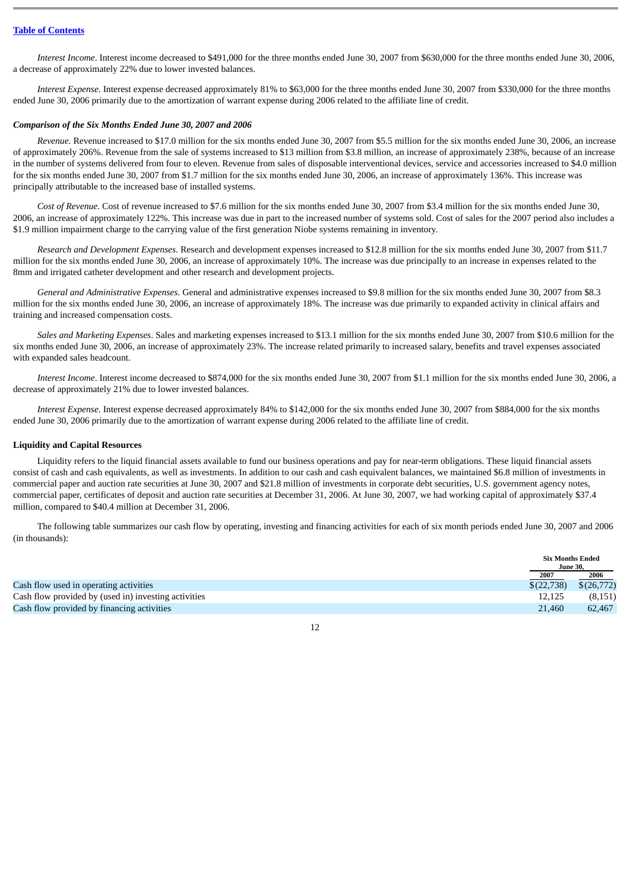## **Table of [Contents](#page-1-0)**

*Interest Income*. Interest income decreased to \$491,000 for the three months ended June 30, 2007 from \$630,000 for the three months ended June 30, 2006, a decrease of approximately 22% due to lower invested balances.

*Interest Expense*. Interest expense decreased approximately 81% to \$63,000 for the three months ended June 30, 2007 from \$330,000 for the three months ended June 30, 2006 primarily due to the amortization of warrant expense during 2006 related to the affiliate line of credit.

## *Comparison of the Six Months Ended June 30, 2007 and 2006*

*Revenue*. Revenue increased to \$17.0 million for the six months ended June 30, 2007 from \$5.5 million for the six months ended June 30, 2006, an increase of approximately 206%. Revenue from the sale of systems increased to \$13 million from \$3.8 million, an increase of approximately 238%, because of an increase in the number of systems delivered from four to eleven. Revenue from sales of disposable interventional devices, service and accessories increased to \$4.0 million for the six months ended June 30, 2007 from \$1.7 million for the six months ended June 30, 2006, an increase of approximately 136%. This increase was principally attributable to the increased base of installed systems.

*Cost of Revenue*. Cost of revenue increased to \$7.6 million for the six months ended June 30, 2007 from \$3.4 million for the six months ended June 30, 2006, an increase of approximately 122%. This increase was due in part to the increased number of systems sold. Cost of sales for the 2007 period also includes a \$1.9 million impairment charge to the carrying value of the first generation Niobe systems remaining in inventory.

*Research and Development Expenses*. Research and development expenses increased to \$12.8 million for the six months ended June 30, 2007 from \$11.7 million for the six months ended June 30, 2006, an increase of approximately 10%. The increase was due principally to an increase in expenses related to the 8mm and irrigated catheter development and other research and development projects.

*General and Administrative Expenses*. General and administrative expenses increased to \$9.8 million for the six months ended June 30, 2007 from \$8.3 million for the six months ended June 30, 2006, an increase of approximately 18%. The increase was due primarily to expanded activity in clinical affairs and training and increased compensation costs.

*Sales and Marketing Expenses*. Sales and marketing expenses increased to \$13.1 million for the six months ended June 30, 2007 from \$10.6 million for the six months ended June 30, 2006, an increase of approximately 23%. The increase related primarily to increased salary, benefits and travel expenses associated with expanded sales headcount.

*Interest Income*. Interest income decreased to \$874,000 for the six months ended June 30, 2007 from \$1.1 million for the six months ended June 30, 2006, a decrease of approximately 21% due to lower invested balances.

*Interest Expense*. Interest expense decreased approximately 84% to \$142,000 for the six months ended June 30, 2007 from \$884,000 for the six months ended June 30, 2006 primarily due to the amortization of warrant expense during 2006 related to the affiliate line of credit.

## **Liquidity and Capital Resources**

Liquidity refers to the liquid financial assets available to fund our business operations and pay for near-term obligations. These liquid financial assets consist of cash and cash equivalents, as well as investments. In addition to our cash and cash equivalent balances, we maintained \$6.8 million of investments in commercial paper and auction rate securities at June 30, 2007 and \$21.8 million of investments in corporate debt securities, U.S. government agency notes, commercial paper, certificates of deposit and auction rate securities at December 31, 2006. At June 30, 2007, we had working capital of approximately \$37.4 million, compared to \$40.4 million at December 31, 2006.

The following table summarizes our cash flow by operating, investing and financing activities for each of six month periods ended June 30, 2007 and 2006 (in thousands):

|                                                      |            | <b>Six Months Ended</b><br><b>June 30,</b> |
|------------------------------------------------------|------------|--------------------------------------------|
|                                                      | 2007       | 2006                                       |
| Cash flow used in operating activities               | \$(22,738) | \$(26,772)                                 |
| Cash flow provided by (used in) investing activities | 12.125     | (8,151)                                    |
| Cash flow provided by financing activities           | 21,460     | 62,467                                     |

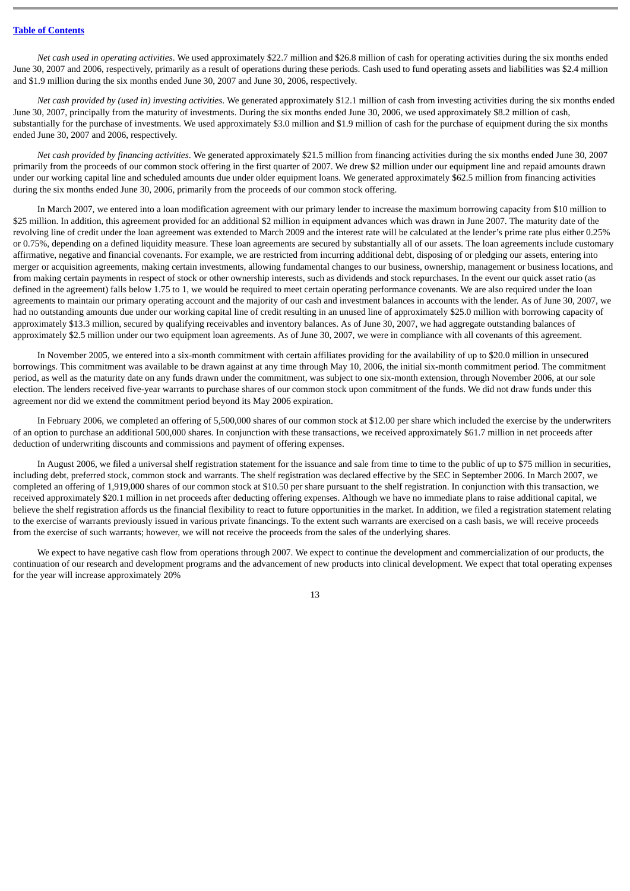## **Table of [Contents](#page-1-0)**

*Net cash used in operating activities*. We used approximately \$22.7 million and \$26.8 million of cash for operating activities during the six months ended June 30, 2007 and 2006, respectively, primarily as a result of operations during these periods. Cash used to fund operating assets and liabilities was \$2.4 million and \$1.9 million during the six months ended June 30, 2007 and June 30, 2006, respectively.

*Net cash provided by (used in) investing activities*. We generated approximately \$12.1 million of cash from investing activities during the six months ended June 30, 2007, principally from the maturity of investments. During the six months ended June 30, 2006, we used approximately \$8.2 million of cash, substantially for the purchase of investments. We used approximately \$3.0 million and \$1.9 million of cash for the purchase of equipment during the six months ended June 30, 2007 and 2006, respectively.

*Net cash provided by financing activities*. We generated approximately \$21.5 million from financing activities during the six months ended June 30, 2007 primarily from the proceeds of our common stock offering in the first quarter of 2007. We drew \$2 million under our equipment line and repaid amounts drawn under our working capital line and scheduled amounts due under older equipment loans. We generated approximately \$62.5 million from financing activities during the six months ended June 30, 2006, primarily from the proceeds of our common stock offering.

In March 2007, we entered into a loan modification agreement with our primary lender to increase the maximum borrowing capacity from \$10 million to \$25 million. In addition, this agreement provided for an additional \$2 million in equipment advances which was drawn in June 2007. The maturity date of the revolving line of credit under the loan agreement was extended to March 2009 and the interest rate will be calculated at the lender's prime rate plus either 0.25% or 0.75%, depending on a defined liquidity measure. These loan agreements are secured by substantially all of our assets. The loan agreements include customary affirmative, negative and financial covenants. For example, we are restricted from incurring additional debt, disposing of or pledging our assets, entering into merger or acquisition agreements, making certain investments, allowing fundamental changes to our business, ownership, management or business locations, and from making certain payments in respect of stock or other ownership interests, such as dividends and stock repurchases. In the event our quick asset ratio (as defined in the agreement) falls below 1.75 to 1, we would be required to meet certain operating performance covenants. We are also required under the loan agreements to maintain our primary operating account and the majority of our cash and investment balances in accounts with the lender. As of June 30, 2007, we had no outstanding amounts due under our working capital line of credit resulting in an unused line of approximately \$25.0 million with borrowing capacity of approximately \$13.3 million, secured by qualifying receivables and inventory balances. As of June 30, 2007, we had aggregate outstanding balances of approximately \$2.5 million under our two equipment loan agreements. As of June 30, 2007, we were in compliance with all covenants of this agreement.

In November 2005, we entered into a six-month commitment with certain affiliates providing for the availability of up to \$20.0 million in unsecured borrowings. This commitment was available to be drawn against at any time through May 10, 2006, the initial six-month commitment period. The commitment period, as well as the maturity date on any funds drawn under the commitment, was subject to one six-month extension, through November 2006, at our sole election. The lenders received five-year warrants to purchase shares of our common stock upon commitment of the funds. We did not draw funds under this agreement nor did we extend the commitment period beyond its May 2006 expiration.

In February 2006, we completed an offering of 5,500,000 shares of our common stock at \$12.00 per share which included the exercise by the underwriters of an option to purchase an additional 500,000 shares. In conjunction with these transactions, we received approximately \$61.7 million in net proceeds after deduction of underwriting discounts and commissions and payment of offering expenses.

In August 2006, we filed a universal shelf registration statement for the issuance and sale from time to time to the public of up to \$75 million in securities, including debt, preferred stock, common stock and warrants. The shelf registration was declared effective by the SEC in September 2006. In March 2007, we completed an offering of 1,919,000 shares of our common stock at \$10.50 per share pursuant to the shelf registration. In conjunction with this transaction, we received approximately \$20.1 million in net proceeds after deducting offering expenses. Although we have no immediate plans to raise additional capital, we believe the shelf registration affords us the financial flexibility to react to future opportunities in the market. In addition, we filed a registration statement relating to the exercise of warrants previously issued in various private financings. To the extent such warrants are exercised on a cash basis, we will receive proceeds from the exercise of such warrants; however, we will not receive the proceeds from the sales of the underlying shares.

We expect to have negative cash flow from operations through 2007. We expect to continue the development and commercialization of our products, the continuation of our research and development programs and the advancement of new products into clinical development. We expect that total operating expenses for the year will increase approximately 20%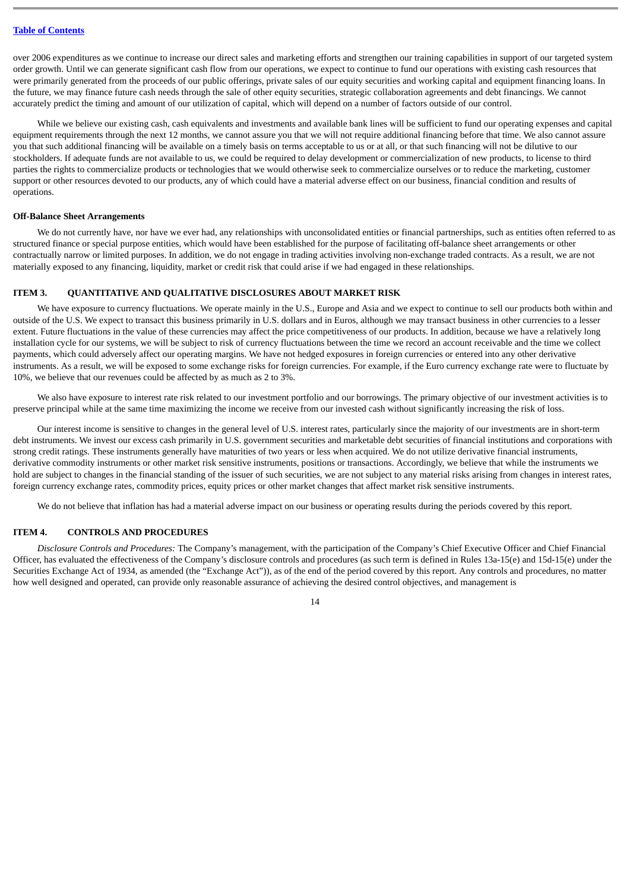over 2006 expenditures as we continue to increase our direct sales and marketing efforts and strengthen our training capabilities in support of our targeted system order growth. Until we can generate significant cash flow from our operations, we expect to continue to fund our operations with existing cash resources that were primarily generated from the proceeds of our public offerings, private sales of our equity securities and working capital and equipment financing loans. In the future, we may finance future cash needs through the sale of other equity securities, strategic collaboration agreements and debt financings. We cannot accurately predict the timing and amount of our utilization of capital, which will depend on a number of factors outside of our control.

While we believe our existing cash, cash equivalents and investments and available bank lines will be sufficient to fund our operating expenses and capital equipment requirements through the next 12 months, we cannot assure you that we will not require additional financing before that time. We also cannot assure you that such additional financing will be available on a timely basis on terms acceptable to us or at all, or that such financing will not be dilutive to our stockholders. If adequate funds are not available to us, we could be required to delay development or commercialization of new products, to license to third parties the rights to commercialize products or technologies that we would otherwise seek to commercialize ourselves or to reduce the marketing, customer support or other resources devoted to our products, any of which could have a material adverse effect on our business, financial condition and results of operations.

#### **Off-Balance Sheet Arrangements**

We do not currently have, nor have we ever had, any relationships with unconsolidated entities or financial partnerships, such as entities often referred to as structured finance or special purpose entities, which would have been established for the purpose of facilitating off-balance sheet arrangements or other contractually narrow or limited purposes. In addition, we do not engage in trading activities involving non-exchange traded contracts. As a result, we are not materially exposed to any financing, liquidity, market or credit risk that could arise if we had engaged in these relationships.

#### <span id="page-14-0"></span>**ITEM 3. QUANTITATIVE AND QUALITATIVE DISCLOSURES ABOUT MARKET RISK**

We have exposure to currency fluctuations. We operate mainly in the U.S., Europe and Asia and we expect to continue to sell our products both within and outside of the U.S. We expect to transact this business primarily in U.S. dollars and in Euros, although we may transact business in other currencies to a lesser extent. Future fluctuations in the value of these currencies may affect the price competitiveness of our products. In addition, because we have a relatively long installation cycle for our systems, we will be subject to risk of currency fluctuations between the time we record an account receivable and the time we collect payments, which could adversely affect our operating margins. We have not hedged exposures in foreign currencies or entered into any other derivative instruments. As a result, we will be exposed to some exchange risks for foreign currencies. For example, if the Euro currency exchange rate were to fluctuate by 10%, we believe that our revenues could be affected by as much as 2 to 3%.

We also have exposure to interest rate risk related to our investment portfolio and our borrowings. The primary objective of our investment activities is to preserve principal while at the same time maximizing the income we receive from our invested cash without significantly increasing the risk of loss.

Our interest income is sensitive to changes in the general level of U.S. interest rates, particularly since the majority of our investments are in short-term debt instruments. We invest our excess cash primarily in U.S. government securities and marketable debt securities of financial institutions and corporations with strong credit ratings. These instruments generally have maturities of two years or less when acquired. We do not utilize derivative financial instruments, derivative commodity instruments or other market risk sensitive instruments, positions or transactions. Accordingly, we believe that while the instruments we hold are subject to changes in the financial standing of the issuer of such securities, we are not subject to any material risks arising from changes in interest rates, foreign currency exchange rates, commodity prices, equity prices or other market changes that affect market risk sensitive instruments.

We do not believe that inflation has had a material adverse impact on our business or operating results during the periods covered by this report.

#### <span id="page-14-1"></span>**ITEM 4. CONTROLS AND PROCEDURES**

*Disclosure Controls and Procedures:* The Company's management, with the participation of the Company's Chief Executive Officer and Chief Financial Officer, has evaluated the effectiveness of the Company's disclosure controls and procedures (as such term is defined in Rules 13a-15(e) and 15d-15(e) under the Securities Exchange Act of 1934, as amended (the "Exchange Act")), as of the end of the period covered by this report. Any controls and procedures, no matter how well designed and operated, can provide only reasonable assurance of achieving the desired control objectives, and management is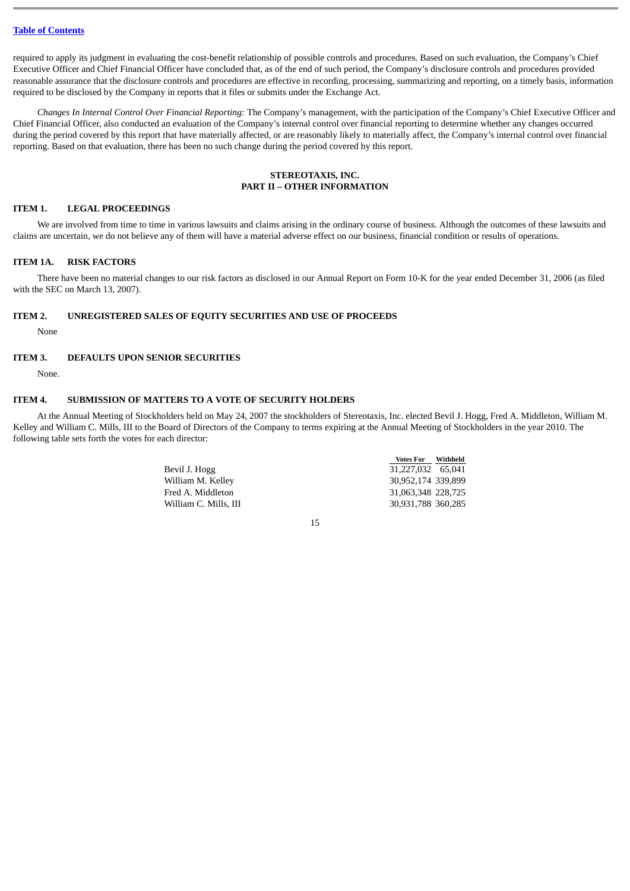required to apply its judgment in evaluating the cost-benefit relationship of possible controls and procedures. Based on such evaluation, the Company's Chief Executive Officer and Chief Financial Officer have concluded that, as of the end of such period, the Company's disclosure controls and procedures provided reasonable assurance that the disclosure controls and procedures are effective in recording, processing, summarizing and reporting, on a timely basis, information required to be disclosed by the Company in reports that it files or submits under the Exchange Act.

*Changes In Internal Control Over Financial Reporting:* The Company's management, with the participation of the Company's Chief Executive Officer and Chief Financial Officer, also conducted an evaluation of the Company's internal control over financial reporting to determine whether any changes occurred during the period covered by this report that have materially affected, or are reasonably likely to materially affect, the Company's internal control over financial reporting. Based on that evaluation, there has been no such change during the period covered by this report.

## **STEREOTAXIS, INC. PART II – OTHER INFORMATION**

## <span id="page-15-1"></span><span id="page-15-0"></span>**ITEM 1. LEGAL PROCEEDINGS**

We are involved from time to time in various lawsuits and claims arising in the ordinary course of business. Although the outcomes of these lawsuits and claims are uncertain, we do not believe any of them will have a material adverse effect on our business, financial condition or results of operations.

## <span id="page-15-2"></span>**ITEM 1A. RISK FACTORS**

There have been no material changes to our risk factors as disclosed in our Annual Report on Form 10-K for the year ended December 31, 2006 (as filed with the SEC on March 13, 2007).

#### <span id="page-15-3"></span>**ITEM 2. UNREGISTERED SALES OF EQUITY SECURITIES AND USE OF PROCEEDS**

None

## <span id="page-15-4"></span>**ITEM 3. DEFAULTS UPON SENIOR SECURITIES**

None.

## <span id="page-15-5"></span>**ITEM 4. SUBMISSION OF MATTERS TO A VOTE OF SECURITY HOLDERS**

At the Annual Meeting of Stockholders held on May 24, 2007 the stockholders of Stereotaxis, Inc. elected Bevil J. Hogg, Fred A. Middleton, William M. Kelley and William C. Mills, III to the Board of Directors of the Company to terms expiring at the Annual Meeting of Stockholders in the year 2010. The following table sets forth the votes for each director:

|                       | <b>Votes For</b>   | Withheld |
|-----------------------|--------------------|----------|
| Bevil J. Hogg         | 31,227,032 65,041  |          |
| William M. Kellev     | 30.952.174 339.899 |          |
| Fred A. Middleton     | 31,063,348 228,725 |          |
| William C. Mills, III | 30,931,788 360,285 |          |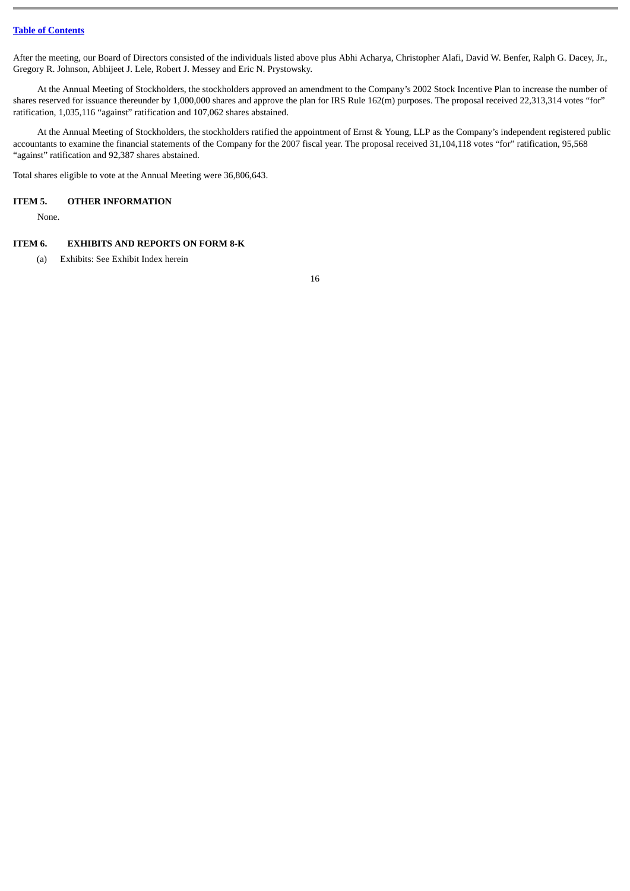After the meeting, our Board of Directors consisted of the individuals listed above plus Abhi Acharya, Christopher Alafi, David W. Benfer, Ralph G. Dacey, Jr., Gregory R. Johnson, Abhijeet J. Lele, Robert J. Messey and Eric N. Prystowsky.

At the Annual Meeting of Stockholders, the stockholders approved an amendment to the Company's 2002 Stock Incentive Plan to increase the number of shares reserved for issuance thereunder by 1,000,000 shares and approve the plan for IRS Rule 162(m) purposes. The proposal received 22,313,314 votes "for" ratification, 1,035,116 "against" ratification and 107,062 shares abstained.

At the Annual Meeting of Stockholders, the stockholders ratified the appointment of Ernst & Young, LLP as the Company's independent registered public accountants to examine the financial statements of the Company for the 2007 fiscal year. The proposal received 31,104,118 votes "for" ratification, 95,568 "against" ratification and 92,387 shares abstained.

Total shares eligible to vote at the Annual Meeting were 36,806,643.

#### <span id="page-16-0"></span>**ITEM 5. OTHER INFORMATION**

None.

## <span id="page-16-1"></span>**ITEM 6. EXHIBITS AND REPORTS ON FORM 8-K**

(a) Exhibits: See Exhibit Index herein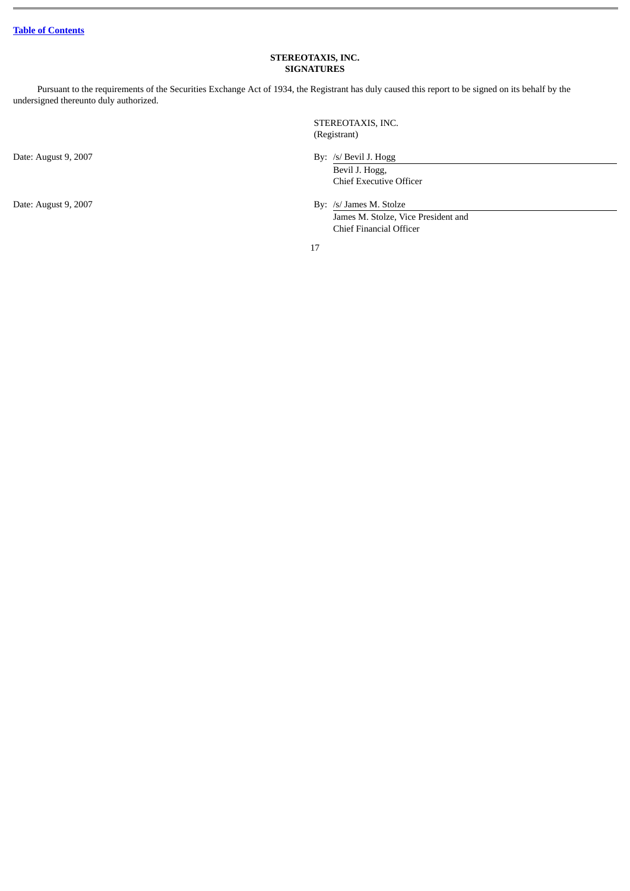# **STEREOTAXIS, INC. SIGNATURES**

<span id="page-17-0"></span>Pursuant to the requirements of the Securities Exchange Act of 1934, the Registrant has duly caused this report to be signed on its behalf by the undersigned thereunto duly authorized.

Date: August 9, 2007

Date: August 9, 2007

 STEREOTAXIS, INC. (Registrant)

/s/ Bevil J. Hogg

 Bevil J. Hogg, Chief Executive Officer

/s/ James M. Stolze

 James M. Stolze, Vice President and Chief Financial Officer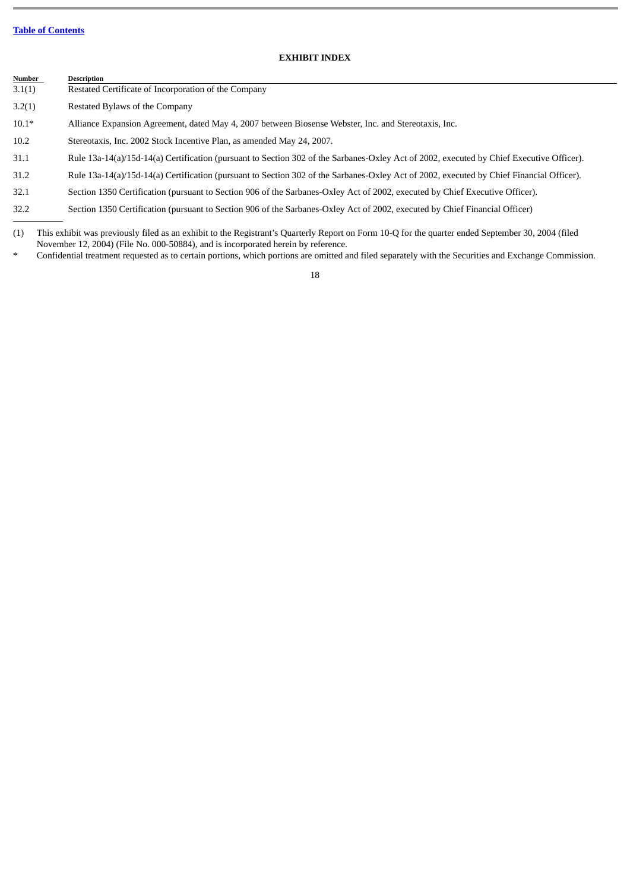# **EXHIBIT INDEX**

<span id="page-18-0"></span>

| <b>Number</b> | <b>Description</b>                                                                                                                       |
|---------------|------------------------------------------------------------------------------------------------------------------------------------------|
| 3.1(1)        | Restated Certificate of Incorporation of the Company                                                                                     |
| 3.2(1)        | Restated Bylaws of the Company                                                                                                           |
| $10.1*$       | Alliance Expansion Agreement, dated May 4, 2007 between Biosense Webster, Inc. and Stereotaxis, Inc.                                     |
| 10.2          | Stereotaxis, Inc. 2002 Stock Incentive Plan, as amended May 24, 2007.                                                                    |
| 31.1          | Rule 13a-14(a)/15d-14(a) Certification (pursuant to Section 302 of the Sarbanes-Oxley Act of 2002, executed by Chief Executive Officer). |
| 31.2          | Rule 13a-14(a)/15d-14(a) Certification (pursuant to Section 302 of the Sarbanes-Oxley Act of 2002, executed by Chief Financial Officer). |
| 32.1          | Section 1350 Certification (pursuant to Section 906 of the Sarbanes-Oxley Act of 2002, executed by Chief Executive Officer).             |

32.2 Section 1350 Certification (pursuant to Section 906 of the Sarbanes-Oxley Act of 2002, executed by Chief Financial Officer)

(1) This exhibit was previously filed as an exhibit to the Registrant's Quarterly Report on Form 10-Q for the quarter ended September 30, 2004 (filed November 12, 2004) (File No. 000-50884), and is incorporated herein by reference.

Confidential treatment requested as to certain portions, which portions are omitted and filed separately with the Securities and Exchange Commission.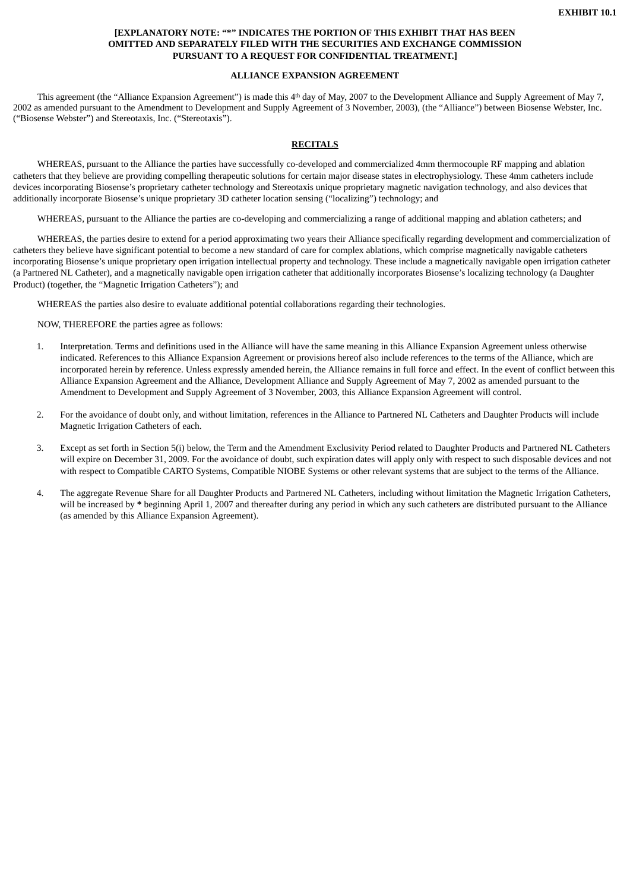## **[EXPLANATORY NOTE: "\*" INDICATES THE PORTION OF THIS EXHIBIT THAT HAS BEEN OMITTED AND SEPARATELY FILED WITH THE SECURITIES AND EXCHANGE COMMISSION PURSUANT TO A REQUEST FOR CONFIDENTIAL TREATMENT.]**

# **ALLIANCE EXPANSION AGREEMENT**

This agreement (the "Alliance Expansion Agreement") is made this 4<sup>th</sup> day of May, 2007 to the Development Alliance and Supply Agreement of May 7, 2002 as amended pursuant to the Amendment to Development and Supply Agreement of 3 November, 2003), (the "Alliance") between Biosense Webster, Inc. ("Biosense Webster") and Stereotaxis, Inc. ("Stereotaxis").

## **RECITALS**

WHEREAS, pursuant to the Alliance the parties have successfully co-developed and commercialized 4mm thermocouple RF mapping and ablation catheters that they believe are providing compelling therapeutic solutions for certain major disease states in electrophysiology. These 4mm catheters include devices incorporating Biosense's proprietary catheter technology and Stereotaxis unique proprietary magnetic navigation technology, and also devices that additionally incorporate Biosense's unique proprietary 3D catheter location sensing ("localizing") technology; and

WHEREAS, pursuant to the Alliance the parties are co-developing and commercializing a range of additional mapping and ablation catheters; and

WHEREAS, the parties desire to extend for a period approximating two years their Alliance specifically regarding development and commercialization of catheters they believe have significant potential to become a new standard of care for complex ablations, which comprise magnetically navigable catheters incorporating Biosense's unique proprietary open irrigation intellectual property and technology. These include a magnetically navigable open irrigation catheter (a Partnered NL Catheter), and a magnetically navigable open irrigation catheter that additionally incorporates Biosense's localizing technology (a Daughter Product) (together, the "Magnetic Irrigation Catheters"); and

WHEREAS the parties also desire to evaluate additional potential collaborations regarding their technologies.

NOW, THEREFORE the parties agree as follows:

- 1. Interpretation. Terms and definitions used in the Alliance will have the same meaning in this Alliance Expansion Agreement unless otherwise indicated. References to this Alliance Expansion Agreement or provisions hereof also include references to the terms of the Alliance, which are incorporated herein by reference. Unless expressly amended herein, the Alliance remains in full force and effect. In the event of conflict between this Alliance Expansion Agreement and the Alliance, Development Alliance and Supply Agreement of May 7, 2002 as amended pursuant to the Amendment to Development and Supply Agreement of 3 November, 2003, this Alliance Expansion Agreement will control.
- 2. For the avoidance of doubt only, and without limitation, references in the Alliance to Partnered NL Catheters and Daughter Products will include Magnetic Irrigation Catheters of each.
- 3. Except as set forth in Section 5(i) below, the Term and the Amendment Exclusivity Period related to Daughter Products and Partnered NL Catheters will expire on December 31, 2009. For the avoidance of doubt, such expiration dates will apply only with respect to such disposable devices and not with respect to Compatible CARTO Systems, Compatible NIOBE Systems or other relevant systems that are subject to the terms of the Alliance.
- 4. The aggregate Revenue Share for all Daughter Products and Partnered NL Catheters, including without limitation the Magnetic Irrigation Catheters, will be increased by **\*** beginning April 1, 2007 and thereafter during any period in which any such catheters are distributed pursuant to the Alliance (as amended by this Alliance Expansion Agreement).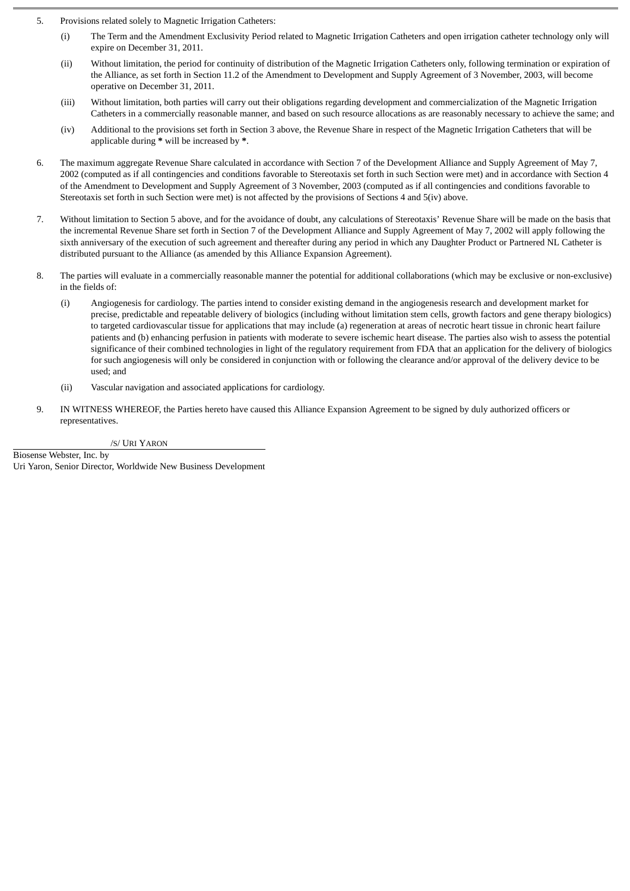- 5. Provisions related solely to Magnetic Irrigation Catheters:
	- (i) The Term and the Amendment Exclusivity Period related to Magnetic Irrigation Catheters and open irrigation catheter technology only will expire on December 31, 2011.
	- (ii) Without limitation, the period for continuity of distribution of the Magnetic Irrigation Catheters only, following termination or expiration of the Alliance, as set forth in Section 11.2 of the Amendment to Development and Supply Agreement of 3 November, 2003, will become operative on December 31, 2011.
	- (iii) Without limitation, both parties will carry out their obligations regarding development and commercialization of the Magnetic Irrigation Catheters in a commercially reasonable manner, and based on such resource allocations as are reasonably necessary to achieve the same; and
	- (iv) Additional to the provisions set forth in Section 3 above, the Revenue Share in respect of the Magnetic Irrigation Catheters that will be applicable during **\*** will be increased by **\***.
- 6. The maximum aggregate Revenue Share calculated in accordance with Section 7 of the Development Alliance and Supply Agreement of May 7, 2002 (computed as if all contingencies and conditions favorable to Stereotaxis set forth in such Section were met) and in accordance with Section 4 of the Amendment to Development and Supply Agreement of 3 November, 2003 (computed as if all contingencies and conditions favorable to Stereotaxis set forth in such Section were met) is not affected by the provisions of Sections 4 and 5(iv) above.
- 7. Without limitation to Section 5 above, and for the avoidance of doubt, any calculations of Stereotaxis' Revenue Share will be made on the basis that the incremental Revenue Share set forth in Section 7 of the Development Alliance and Supply Agreement of May 7, 2002 will apply following the sixth anniversary of the execution of such agreement and thereafter during any period in which any Daughter Product or Partnered NL Catheter is distributed pursuant to the Alliance (as amended by this Alliance Expansion Agreement).
- 8. The parties will evaluate in a commercially reasonable manner the potential for additional collaborations (which may be exclusive or non-exclusive) in the fields of:
	- (i) Angiogenesis for cardiology. The parties intend to consider existing demand in the angiogenesis research and development market for precise, predictable and repeatable delivery of biologics (including without limitation stem cells, growth factors and gene therapy biologics) to targeted cardiovascular tissue for applications that may include (a) regeneration at areas of necrotic heart tissue in chronic heart failure patients and (b) enhancing perfusion in patients with moderate to severe ischemic heart disease. The parties also wish to assess the potential significance of their combined technologies in light of the regulatory requirement from FDA that an application for the delivery of biologics for such angiogenesis will only be considered in conjunction with or following the clearance and/or approval of the delivery device to be used; and
	- (ii) Vascular navigation and associated applications for cardiology.
- 9. IN WITNESS WHEREOF, the Parties hereto have caused this Alliance Expansion Agreement to be signed by duly authorized officers or representatives.

/S/ URI YARON

Biosense Webster, Inc. by Uri Yaron*,* Senior Director, Worldwide New Business Development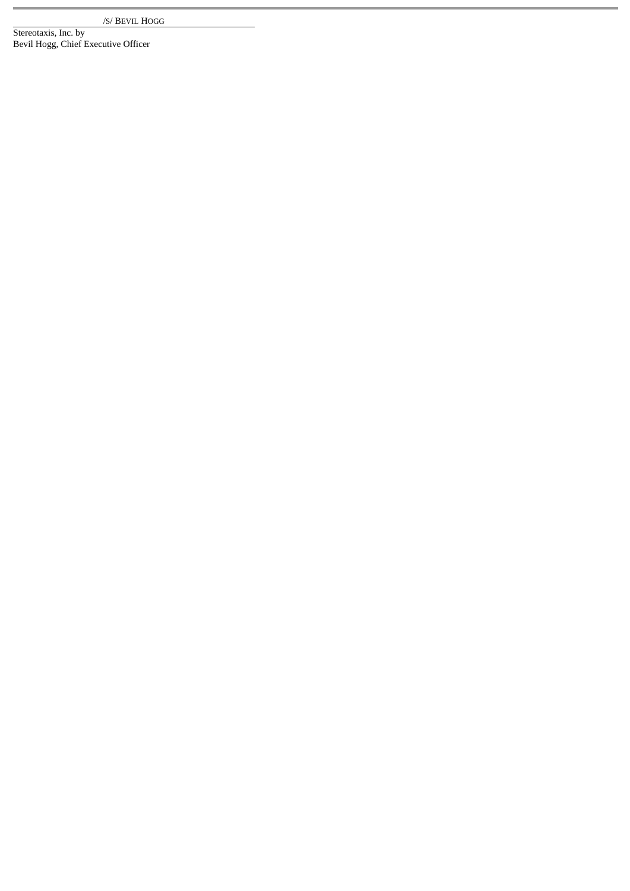/S/ BEVIL HOGG

Stereotaxis, Inc. by Bevil Hogg, Chief Executive Officer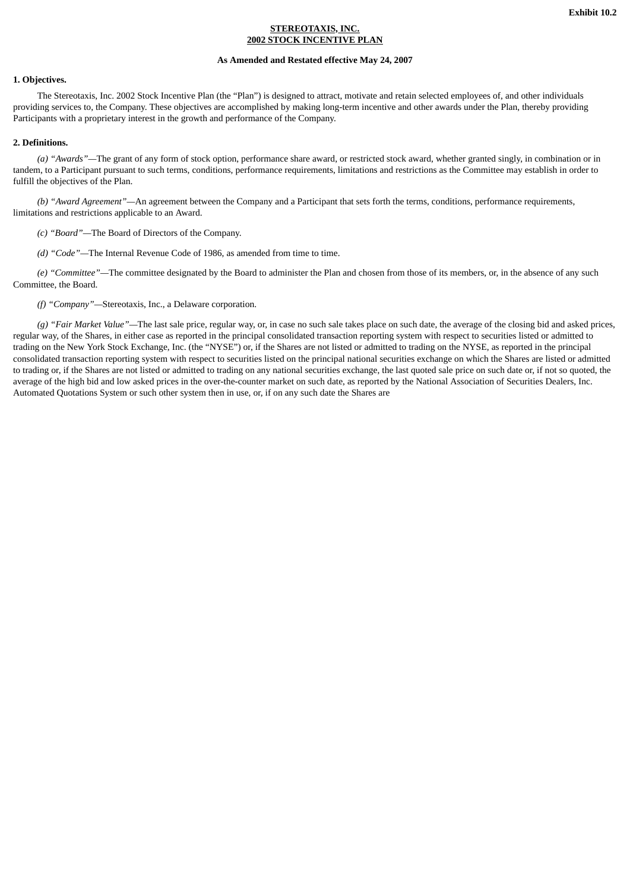## **STEREOTAXIS, INC. 2002 STOCK INCENTIVE PLAN**

## **As Amended and Restated effective May 24, 2007**

#### **1. Objectives.**

The Stereotaxis, Inc. 2002 Stock Incentive Plan (the "Plan") is designed to attract, motivate and retain selected employees of, and other individuals providing services to, the Company. These objectives are accomplished by making long-term incentive and other awards under the Plan, thereby providing Participants with a proprietary interest in the growth and performance of the Company.

#### **2. Definitions.**

*(a) "Awards"—*The grant of any form of stock option, performance share award, or restricted stock award, whether granted singly, in combination or in tandem, to a Participant pursuant to such terms, conditions, performance requirements, limitations and restrictions as the Committee may establish in order to fulfill the objectives of the Plan.

*(b) "Award Agreement"—*An agreement between the Company and a Participant that sets forth the terms, conditions, performance requirements, limitations and restrictions applicable to an Award.

*(c) "Board"—*The Board of Directors of the Company.

*(d) "Code"—*The Internal Revenue Code of 1986, as amended from time to time.

*(e) "Committee"—*The committee designated by the Board to administer the Plan and chosen from those of its members, or, in the absence of any such Committee, the Board.

*(f) "Company"—*Stereotaxis, Inc., a Delaware corporation.

*(g) "Fair Market Value"—*The last sale price, regular way, or, in case no such sale takes place on such date, the average of the closing bid and asked prices, regular way, of the Shares, in either case as reported in the principal consolidated transaction reporting system with respect to securities listed or admitted to trading on the New York Stock Exchange, Inc. (the "NYSE") or, if the Shares are not listed or admitted to trading on the NYSE, as reported in the principal consolidated transaction reporting system with respect to securities listed on the principal national securities exchange on which the Shares are listed or admitted to trading or, if the Shares are not listed or admitted to trading on any national securities exchange, the last quoted sale price on such date or, if not so quoted, the average of the high bid and low asked prices in the over-the-counter market on such date, as reported by the National Association of Securities Dealers, Inc. Automated Quotations System or such other system then in use, or, if on any such date the Shares are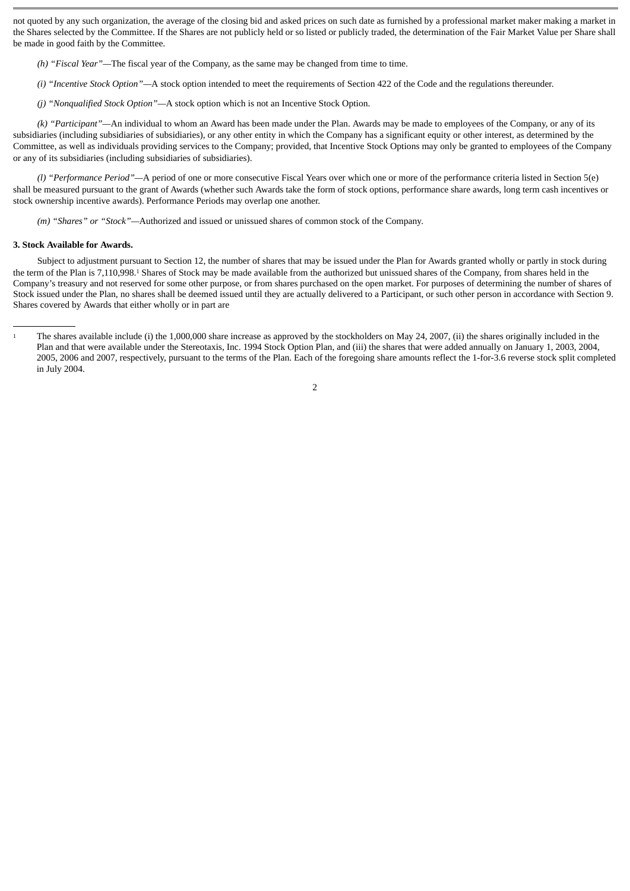not quoted by any such organization, the average of the closing bid and asked prices on such date as furnished by a professional market maker making a market in the Shares selected by the Committee. If the Shares are not publicly held or so listed or publicly traded, the determination of the Fair Market Value per Share shall be made in good faith by the Committee.

- *(h) "Fiscal Year"—*The fiscal year of the Company, as the same may be changed from time to time.
- *(i) "Incentive Stock Option"—*A stock option intended to meet the requirements of Section 422 of the Code and the regulations thereunder.
- *(j) "Nonqualified Stock Option"—*A stock option which is not an Incentive Stock Option.

*(k) "Participant"—*An individual to whom an Award has been made under the Plan. Awards may be made to employees of the Company, or any of its subsidiaries (including subsidiaries of subsidiaries), or any other entity in which the Company has a significant equity or other interest, as determined by the Committee, as well as individuals providing services to the Company; provided, that Incentive Stock Options may only be granted to employees of the Company or any of its subsidiaries (including subsidiaries of subsidiaries).

*(l) "Performance Period"—*A period of one or more consecutive Fiscal Years over which one or more of the performance criteria listed in Section 5(e) shall be measured pursuant to the grant of Awards (whether such Awards take the form of stock options, performance share awards, long term cash incentives or stock ownership incentive awards). Performance Periods may overlap one another.

*(m) "Shares" or "Stock"—*Authorized and issued or unissued shares of common stock of the Company.

## **3. Stock Available for Awards.**

Subject to adjustment pursuant to Section 12, the number of shares that may be issued under the Plan for Awards granted wholly or partly in stock during the term of the Plan is 7,110,998.<sup>1</sup> Shares of Stock may be made available from the authorized but unissued shares of the Company, from shares held in the Company's treasury and not reserved for some other purpose, or from shares purchased on the open market. For purposes of determining the number of shares of Stock issued under the Plan, no shares shall be deemed issued until they are actually delivered to a Participant, or such other person in accordance with Section 9. Shares covered by Awards that either wholly or in part are

<sup>&</sup>lt;sup>1</sup> The shares available include (i) the 1,000,000 share increase as approved by the stockholders on May 24, 2007, (ii) the shares originally included in the Plan and that were available under the Stereotaxis, Inc. 1994 Stock Option Plan, and (iii) the shares that were added annually on January 1, 2003, 2004, 2005, 2006 and 2007, respectively, pursuant to the terms of the Plan. Each of the foregoing share amounts reflect the 1-for-3.6 reverse stock split completed in July 2004.

<sup>2</sup>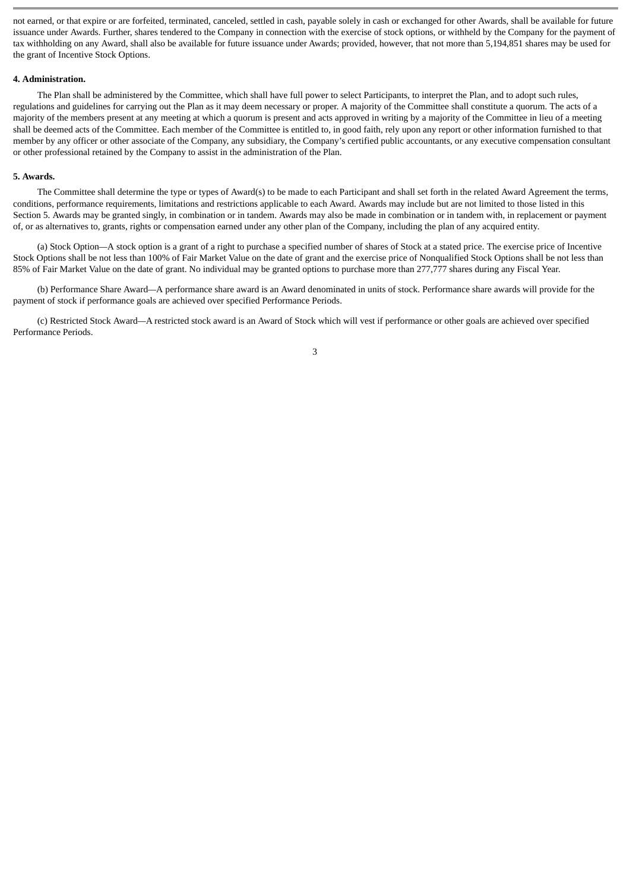not earned, or that expire or are forfeited, terminated, canceled, settled in cash, payable solely in cash or exchanged for other Awards, shall be available for future issuance under Awards. Further, shares tendered to the Company in connection with the exercise of stock options, or withheld by the Company for the payment of tax withholding on any Award, shall also be available for future issuance under Awards; provided, however, that not more than 5,194,851 shares may be used for the grant of Incentive Stock Options.

#### **4. Administration.**

The Plan shall be administered by the Committee, which shall have full power to select Participants, to interpret the Plan, and to adopt such rules, regulations and guidelines for carrying out the Plan as it may deem necessary or proper. A majority of the Committee shall constitute a quorum. The acts of a majority of the members present at any meeting at which a quorum is present and acts approved in writing by a majority of the Committee in lieu of a meeting shall be deemed acts of the Committee. Each member of the Committee is entitled to, in good faith, rely upon any report or other information furnished to that member by any officer or other associate of the Company, any subsidiary, the Company's certified public accountants, or any executive compensation consultant or other professional retained by the Company to assist in the administration of the Plan.

#### **5. Awards.**

The Committee shall determine the type or types of Award(s) to be made to each Participant and shall set forth in the related Award Agreement the terms, conditions, performance requirements, limitations and restrictions applicable to each Award. Awards may include but are not limited to those listed in this Section 5. Awards may be granted singly, in combination or in tandem. Awards may also be made in combination or in tandem with, in replacement or payment of, or as alternatives to, grants, rights or compensation earned under any other plan of the Company, including the plan of any acquired entity.

(a) Stock Option*—*A stock option is a grant of a right to purchase a specified number of shares of Stock at a stated price. The exercise price of Incentive Stock Options shall be not less than 100% of Fair Market Value on the date of grant and the exercise price of Nonqualified Stock Options shall be not less than 85% of Fair Market Value on the date of grant. No individual may be granted options to purchase more than 277,777 shares during any Fiscal Year.

(b) Performance Share Award*—*A performance share award is an Award denominated in units of stock. Performance share awards will provide for the payment of stock if performance goals are achieved over specified Performance Periods.

(c) Restricted Stock Award*—*A restricted stock award is an Award of Stock which will vest if performance or other goals are achieved over specified Performance Periods.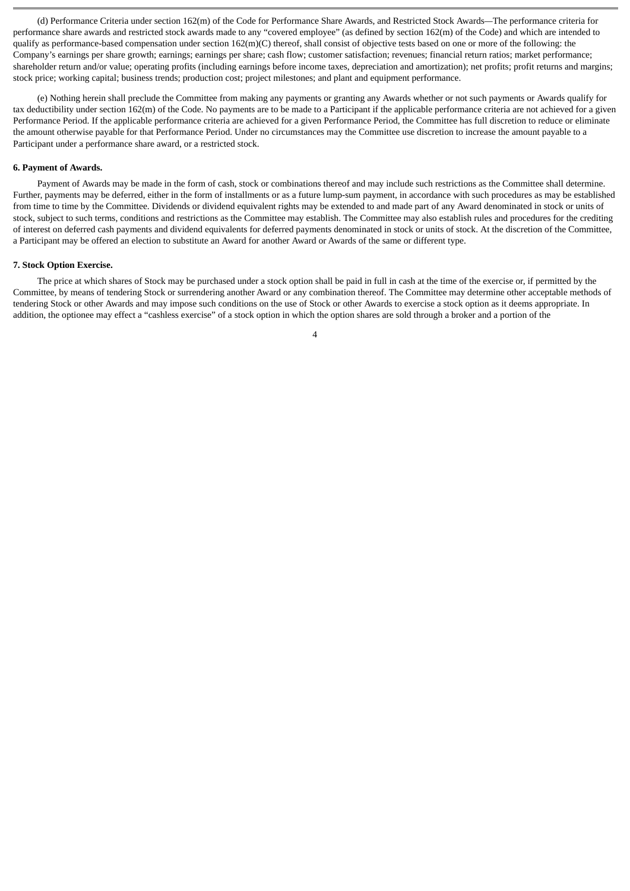(d) Performance Criteria under section 162(m) of the Code for Performance Share Awards, and Restricted Stock Awards*—*The performance criteria for performance share awards and restricted stock awards made to any "covered employee" (as defined by section 162(m) of the Code) and which are intended to qualify as performance-based compensation under section  $162(m)$ (C) thereof, shall consist of objective tests based on one or more of the following: the Company's earnings per share growth; earnings; earnings per share; cash flow; customer satisfaction; revenues; financial return ratios; market performance; shareholder return and/or value; operating profits (including earnings before income taxes, depreciation and amortization); net profits; profit returns and margins; stock price; working capital; business trends; production cost; project milestones; and plant and equipment performance.

(e) Nothing herein shall preclude the Committee from making any payments or granting any Awards whether or not such payments or Awards qualify for tax deductibility under section 162(m) of the Code. No payments are to be made to a Participant if the applicable performance criteria are not achieved for a given Performance Period. If the applicable performance criteria are achieved for a given Performance Period, the Committee has full discretion to reduce or eliminate the amount otherwise payable for that Performance Period. Under no circumstances may the Committee use discretion to increase the amount payable to a Participant under a performance share award, or a restricted stock.

#### **6. Payment of Awards.**

Payment of Awards may be made in the form of cash, stock or combinations thereof and may include such restrictions as the Committee shall determine. Further, payments may be deferred, either in the form of installments or as a future lump-sum payment, in accordance with such procedures as may be established from time to time by the Committee. Dividends or dividend equivalent rights may be extended to and made part of any Award denominated in stock or units of stock, subject to such terms, conditions and restrictions as the Committee may establish. The Committee may also establish rules and procedures for the crediting of interest on deferred cash payments and dividend equivalents for deferred payments denominated in stock or units of stock. At the discretion of the Committee, a Participant may be offered an election to substitute an Award for another Award or Awards of the same or different type.

#### **7. Stock Option Exercise.**

The price at which shares of Stock may be purchased under a stock option shall be paid in full in cash at the time of the exercise or, if permitted by the Committee, by means of tendering Stock or surrendering another Award or any combination thereof. The Committee may determine other acceptable methods of tendering Stock or other Awards and may impose such conditions on the use of Stock or other Awards to exercise a stock option as it deems appropriate. In addition, the optionee may effect a "cashless exercise" of a stock option in which the option shares are sold through a broker and a portion of the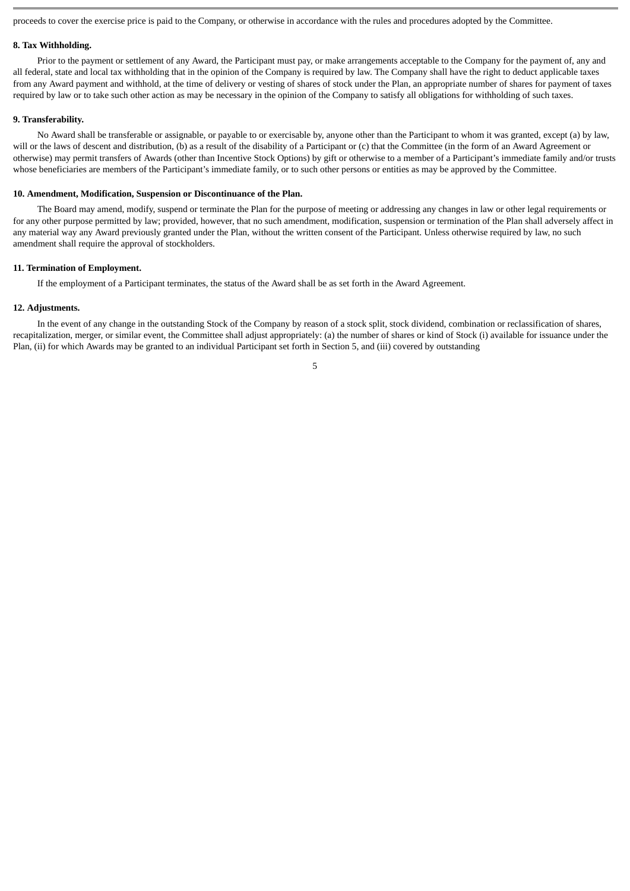proceeds to cover the exercise price is paid to the Company, or otherwise in accordance with the rules and procedures adopted by the Committee.

#### **8. Tax Withholding.**

Prior to the payment or settlement of any Award, the Participant must pay, or make arrangements acceptable to the Company for the payment of, any and all federal, state and local tax withholding that in the opinion of the Company is required by law. The Company shall have the right to deduct applicable taxes from any Award payment and withhold, at the time of delivery or vesting of shares of stock under the Plan, an appropriate number of shares for payment of taxes required by law or to take such other action as may be necessary in the opinion of the Company to satisfy all obligations for withholding of such taxes.

#### **9. Transferability.**

No Award shall be transferable or assignable, or payable to or exercisable by, anyone other than the Participant to whom it was granted, except (a) by law, will or the laws of descent and distribution, (b) as a result of the disability of a Participant or (c) that the Committee (in the form of an Award Agreement or otherwise) may permit transfers of Awards (other than Incentive Stock Options) by gift or otherwise to a member of a Participant's immediate family and/or trusts whose beneficiaries are members of the Participant's immediate family, or to such other persons or entities as may be approved by the Committee.

#### **10. Amendment, Modification, Suspension or Discontinuance of the Plan.**

The Board may amend, modify, suspend or terminate the Plan for the purpose of meeting or addressing any changes in law or other legal requirements or for any other purpose permitted by law; provided, however, that no such amendment, modification, suspension or termination of the Plan shall adversely affect in any material way any Award previously granted under the Plan, without the written consent of the Participant. Unless otherwise required by law, no such amendment shall require the approval of stockholders.

#### **11. Termination of Employment.**

If the employment of a Participant terminates, the status of the Award shall be as set forth in the Award Agreement.

#### **12. Adjustments.**

In the event of any change in the outstanding Stock of the Company by reason of a stock split, stock dividend, combination or reclassification of shares, recapitalization, merger, or similar event, the Committee shall adjust appropriately: (a) the number of shares or kind of Stock (i) available for issuance under the Plan, (ii) for which Awards may be granted to an individual Participant set forth in Section 5, and (iii) covered by outstanding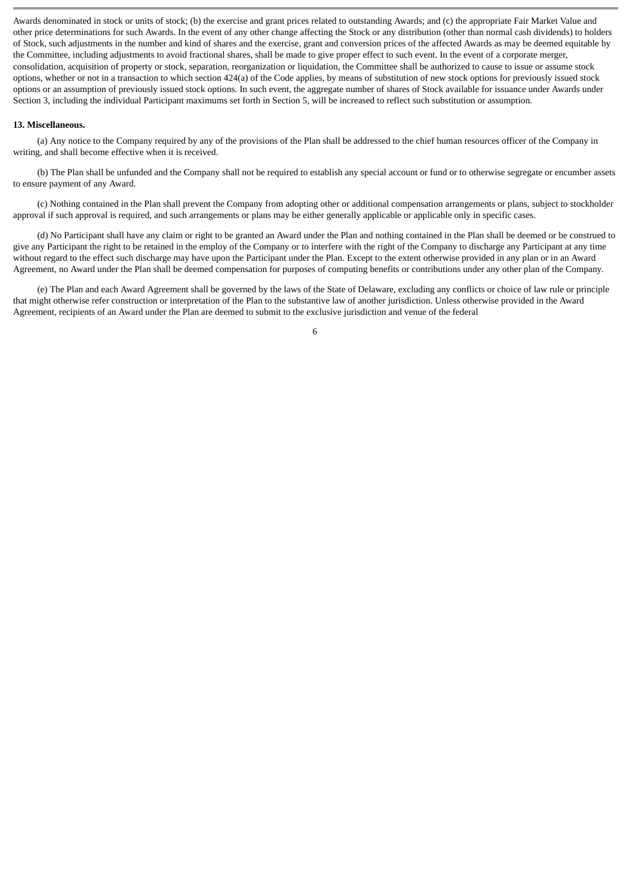Awards denominated in stock or units of stock; (b) the exercise and grant prices related to outstanding Awards; and (c) the appropriate Fair Market Value and other price determinations for such Awards. In the event of any other change affecting the Stock or any distribution (other than normal cash dividends) to holders of Stock, such adjustments in the number and kind of shares and the exercise, grant and conversion prices of the affected Awards as may be deemed equitable by the Committee, including adjustments to avoid fractional shares, shall be made to give proper effect to such event. In the event of a corporate merger, consolidation, acquisition of property or stock, separation, reorganization or liquidation, the Committee shall be authorized to cause to issue or assume stock options, whether or not in a transaction to which section 424(a) of the Code applies, by means of substitution of new stock options for previously issued stock options or an assumption of previously issued stock options. In such event, the aggregate number of shares of Stock available for issuance under Awards under Section 3, including the individual Participant maximums set forth in Section 5, will be increased to reflect such substitution or assumption.

## **13. Miscellaneous.**

(a) Any notice to the Company required by any of the provisions of the Plan shall be addressed to the chief human resources officer of the Company in writing, and shall become effective when it is received.

(b) The Plan shall be unfunded and the Company shall not be required to establish any special account or fund or to otherwise segregate or encumber assets to ensure payment of any Award.

(c) Nothing contained in the Plan shall prevent the Company from adopting other or additional compensation arrangements or plans, subject to stockholder approval if such approval is required, and such arrangements or plans may be either generally applicable or applicable only in specific cases.

(d) No Participant shall have any claim or right to be granted an Award under the Plan and nothing contained in the Plan shall be deemed or be construed to give any Participant the right to be retained in the employ of the Company or to interfere with the right of the Company to discharge any Participant at any time without regard to the effect such discharge may have upon the Participant under the Plan. Except to the extent otherwise provided in any plan or in an Award Agreement, no Award under the Plan shall be deemed compensation for purposes of computing benefits or contributions under any other plan of the Company.

(e) The Plan and each Award Agreement shall be governed by the laws of the State of Delaware, excluding any conflicts or choice of law rule or principle that might otherwise refer construction or interpretation of the Plan to the substantive law of another jurisdiction. Unless otherwise provided in the Award Agreement, recipients of an Award under the Plan are deemed to submit to the exclusive jurisdiction and venue of the federal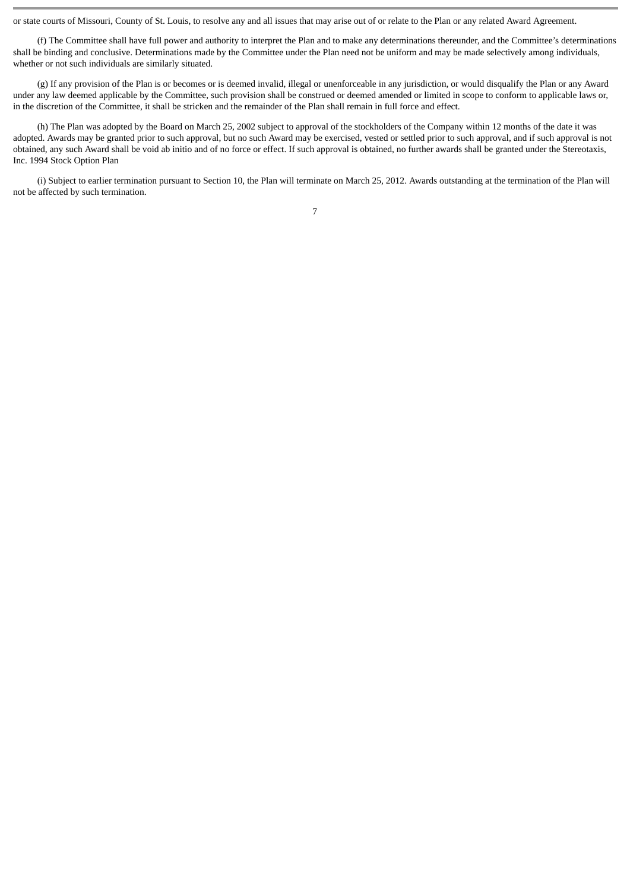or state courts of Missouri, County of St. Louis, to resolve any and all issues that may arise out of or relate to the Plan or any related Award Agreement.

(f) The Committee shall have full power and authority to interpret the Plan and to make any determinations thereunder, and the Committee's determinations shall be binding and conclusive. Determinations made by the Committee under the Plan need not be uniform and may be made selectively among individuals, whether or not such individuals are similarly situated.

(g) If any provision of the Plan is or becomes or is deemed invalid, illegal or unenforceable in any jurisdiction, or would disqualify the Plan or any Award under any law deemed applicable by the Committee, such provision shall be construed or deemed amended or limited in scope to conform to applicable laws or, in the discretion of the Committee, it shall be stricken and the remainder of the Plan shall remain in full force and effect.

(h) The Plan was adopted by the Board on March 25, 2002 subject to approval of the stockholders of the Company within 12 months of the date it was adopted. Awards may be granted prior to such approval, but no such Award may be exercised, vested or settled prior to such approval, and if such approval is not obtained, any such Award shall be void ab initio and of no force or effect. If such approval is obtained, no further awards shall be granted under the Stereotaxis, Inc. 1994 Stock Option Plan

(i) Subject to earlier termination pursuant to Section 10, the Plan will terminate on March 25, 2012. Awards outstanding at the termination of the Plan will not be affected by such termination.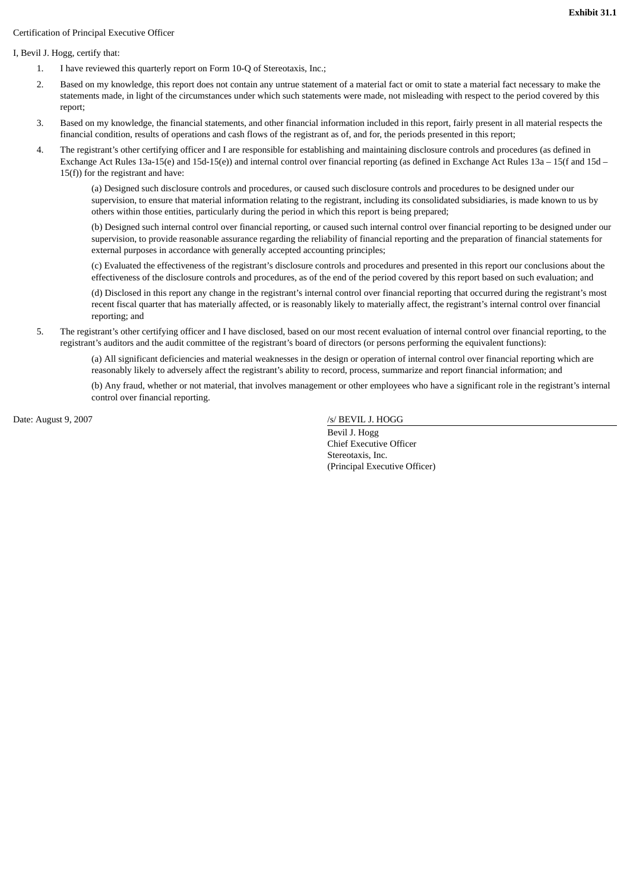# Certification of Principal Executive Officer

## I, Bevil J. Hogg, certify that:

- 1. I have reviewed this quarterly report on Form 10-Q of Stereotaxis, Inc.;
- 2. Based on my knowledge, this report does not contain any untrue statement of a material fact or omit to state a material fact necessary to make the statements made, in light of the circumstances under which such statements were made, not misleading with respect to the period covered by this report;
- 3. Based on my knowledge, the financial statements, and other financial information included in this report, fairly present in all material respects the financial condition, results of operations and cash flows of the registrant as of, and for, the periods presented in this report;
- 4. The registrant's other certifying officer and I are responsible for establishing and maintaining disclosure controls and procedures (as defined in Exchange Act Rules 13a-15(e) and 15d-15(e)) and internal control over financial reporting (as defined in Exchange Act Rules 13a – 15(f and 15d – 15(f)) for the registrant and have:

(a) Designed such disclosure controls and procedures, or caused such disclosure controls and procedures to be designed under our supervision, to ensure that material information relating to the registrant, including its consolidated subsidiaries, is made known to us by others within those entities, particularly during the period in which this report is being prepared;

(b) Designed such internal control over financial reporting, or caused such internal control over financial reporting to be designed under our supervision, to provide reasonable assurance regarding the reliability of financial reporting and the preparation of financial statements for external purposes in accordance with generally accepted accounting principles;

(c) Evaluated the effectiveness of the registrant's disclosure controls and procedures and presented in this report our conclusions about the effectiveness of the disclosure controls and procedures, as of the end of the period covered by this report based on such evaluation; and

(d) Disclosed in this report any change in the registrant's internal control over financial reporting that occurred during the registrant's most recent fiscal quarter that has materially affected, or is reasonably likely to materially affect, the registrant's internal control over financial reporting; and

5. The registrant's other certifying officer and I have disclosed, based on our most recent evaluation of internal control over financial reporting, to the registrant's auditors and the audit committee of the registrant's board of directors (or persons performing the equivalent functions):

(a) All significant deficiencies and material weaknesses in the design or operation of internal control over financial reporting which are reasonably likely to adversely affect the registrant's ability to record, process, summarize and report financial information; and

(b) Any fraud, whether or not material, that involves management or other employees who have a significant role in the registrant's internal control over financial reporting.

Date: August 9, 2007

/s/ BEVIL J. HOGG

 Bevil J. Hogg Chief Executive Officer Stereotaxis, Inc. (Principal Executive Officer)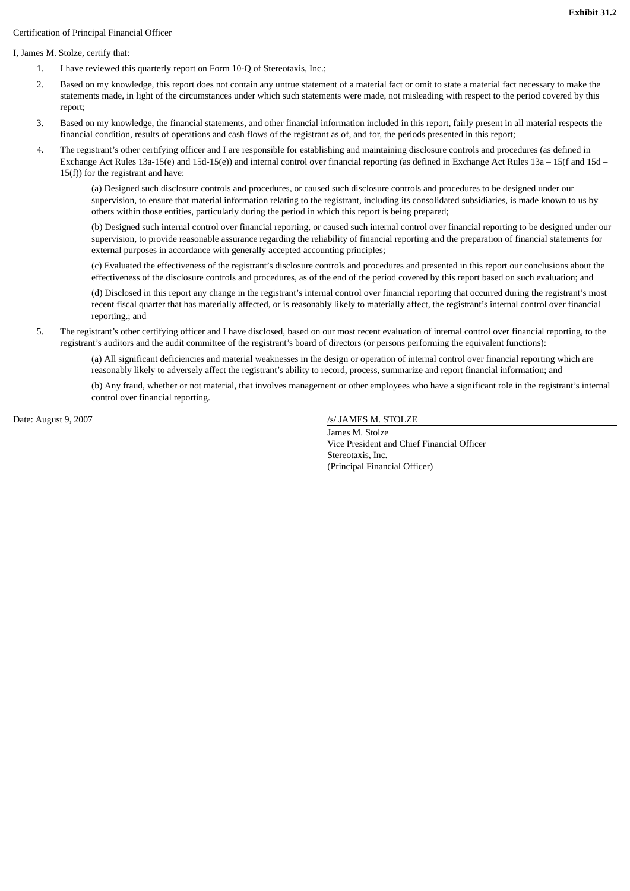# Certification of Principal Financial Officer

## I, James M. Stolze, certify that:

- 1. I have reviewed this quarterly report on Form 10-Q of Stereotaxis, Inc.;
- 2. Based on my knowledge, this report does not contain any untrue statement of a material fact or omit to state a material fact necessary to make the statements made, in light of the circumstances under which such statements were made, not misleading with respect to the period covered by this report;
- 3. Based on my knowledge, the financial statements, and other financial information included in this report, fairly present in all material respects the financial condition, results of operations and cash flows of the registrant as of, and for, the periods presented in this report;
- 4. The registrant's other certifying officer and I are responsible for establishing and maintaining disclosure controls and procedures (as defined in Exchange Act Rules 13a-15(e) and 15d-15(e)) and internal control over financial reporting (as defined in Exchange Act Rules 13a – 15(f and 15d – 15(f)) for the registrant and have:

(a) Designed such disclosure controls and procedures, or caused such disclosure controls and procedures to be designed under our supervision, to ensure that material information relating to the registrant, including its consolidated subsidiaries, is made known to us by others within those entities, particularly during the period in which this report is being prepared;

(b) Designed such internal control over financial reporting, or caused such internal control over financial reporting to be designed under our supervision, to provide reasonable assurance regarding the reliability of financial reporting and the preparation of financial statements for external purposes in accordance with generally accepted accounting principles;

(c) Evaluated the effectiveness of the registrant's disclosure controls and procedures and presented in this report our conclusions about the effectiveness of the disclosure controls and procedures, as of the end of the period covered by this report based on such evaluation; and

(d) Disclosed in this report any change in the registrant's internal control over financial reporting that occurred during the registrant's most recent fiscal quarter that has materially affected, or is reasonably likely to materially affect, the registrant's internal control over financial reporting.; and

5. The registrant's other certifying officer and I have disclosed, based on our most recent evaluation of internal control over financial reporting, to the registrant's auditors and the audit committee of the registrant's board of directors (or persons performing the equivalent functions):

(a) All significant deficiencies and material weaknesses in the design or operation of internal control over financial reporting which are reasonably likely to adversely affect the registrant's ability to record, process, summarize and report financial information; and

(b) Any fraud, whether or not material, that involves management or other employees who have a significant role in the registrant's internal control over financial reporting.

Date: August 9, 2007

## /s/ JAMES M. STOLZE

 James M. Stolze Vice President and Chief Financial Officer Stereotaxis, Inc. (Principal Financial Officer)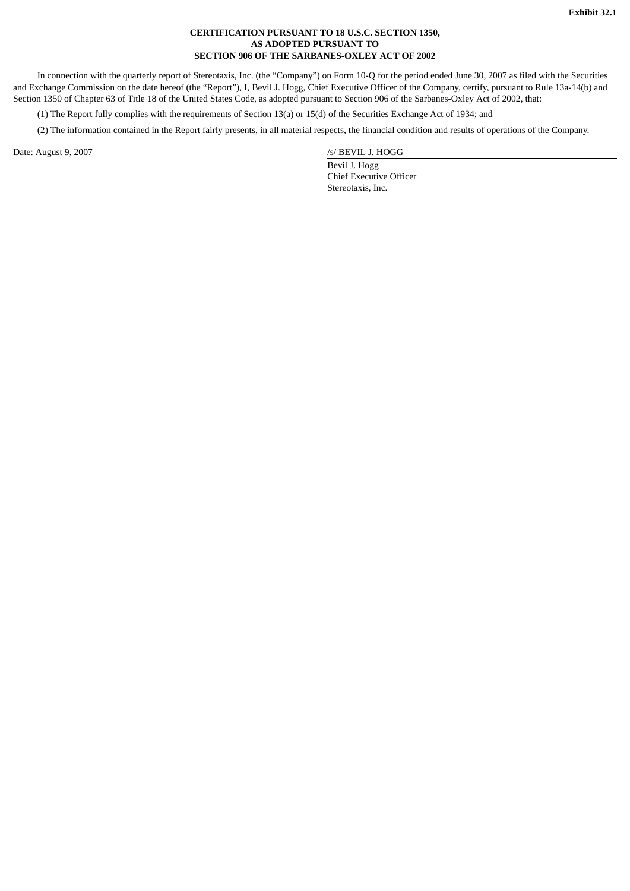## **CERTIFICATION PURSUANT TO 18 U.S.C. SECTION 1350, AS ADOPTED PURSUANT TO SECTION 906 OF THE SARBANES-OXLEY ACT OF 2002**

In connection with the quarterly report of Stereotaxis, Inc. (the "Company") on Form 10-Q for the period ended June 30, 2007 as filed with the Securities and Exchange Commission on the date hereof (the "Report"), I, Bevil J. Hogg, Chief Executive Officer of the Company, certify, pursuant to Rule 13a-14(b) and Section 1350 of Chapter 63 of Title 18 of the United States Code, as adopted pursuant to Section 906 of the Sarbanes-Oxley Act of 2002, that:

(1) The Report fully complies with the requirements of Section 13(a) or 15(d) of the Securities Exchange Act of 1934; and

(2) The information contained in the Report fairly presents, in all material respects, the financial condition and results of operations of the Company.

Date: August 9, 2007

/s/ BEVIL J. HOGG

 Bevil J. Hogg Chief Executive Officer Stereotaxis, Inc.